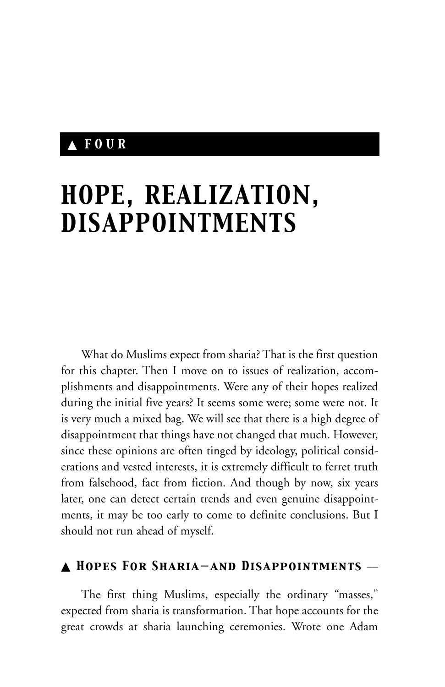# ▲ *FOUR*

# *HOPE, REALIZATION, DISAPPOINTMENTS*

What do Muslims expect from sharia? That is the first question for this chapter. Then I move on to issues of realization, accomplishments and disappointments. Were any of their hopes realized during the initial five years? It seems some were; some were not. It is very much a mixed bag. We will see that there is a high degree of disappointment that things have not changed that much. However, since these opinions are often tinged by ideology, political considerations and vested interests, it is extremely difficult to ferret truth from falsehood, fact from fiction. And though by now, six years later, one can detect certain trends and even genuine disappointments, it may be too early to come to definite conclusions. But I should not run ahead of myself.

#### ▲ *Hopes For Sharia—and Disappointments* \_\_

The first thing Muslims, especially the ordinary "masses," expected from sharia is transformation. That hope accounts for the great crowds at sharia launching ceremonies. Wrote one Adam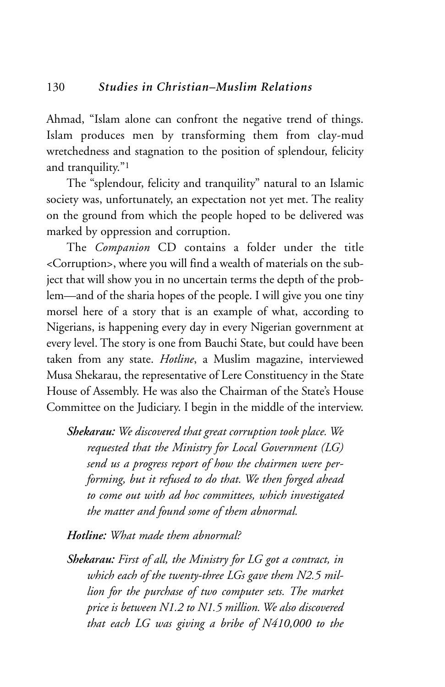Ahmad, "Islam alone can confront the negative trend of things. Islam produces men by transforming them from clay-mud wretchedness and stagnation to the position of splendour, felicity and tranquility."1

The "splendour, felicity and tranquility" natural to an Islamic society was, unfortunately, an expectation not yet met. The reality on the ground from which the people hoped to be delivered was marked by oppression and corruption.

The *Companion* CD contains a folder under the title <Corruption>, where you will find a wealth of materials on the subject that will show you in no uncertain terms the depth of the problem—and of the sharia hopes of the people. I will give you one tiny morsel here of a story that is an example of what, according to Nigerians, is happening every day in every Nigerian government at every level. The story is one from Bauchi State, but could have been taken from any state. *Hotline*, a Muslim magazine, interviewed Musa Shekarau, the representative of Lere Constituency in the State House of Assembly. He was also the Chairman of the State's House Committee on the Judiciary. I begin in the middle of the interview.

*Shekarau: We discovered that great corruption took place. We requested that the Ministry for Local Government (LG) send us a progress report of how the chairmen were performing, but it refused to do that. We then forged ahead to come out with ad hoc committees, which investigated the matter and found some of them abnormal.*

*Hotline: What made them abnormal?*

*Shekarau: First of all, the Ministry for LG got a contract, in which each of the twenty-three LGs gave them N2.5 million for the purchase of two computer sets. The market price is between N1.2 to N1.5 million. We also discovered that each LG was giving a bribe of N410,000 to the*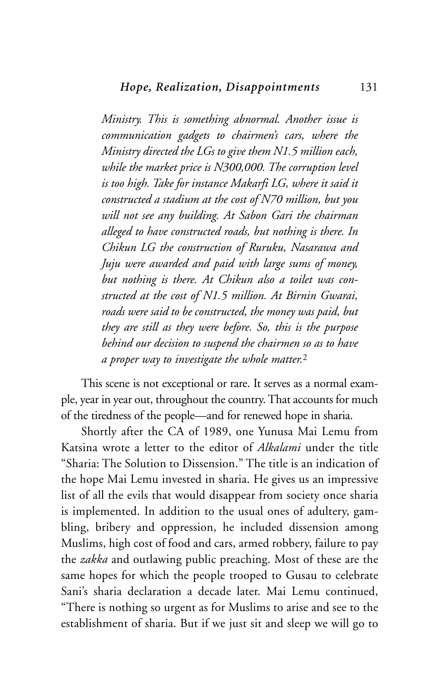*Ministry. This is something abnormal. Another issue is communication gadgets to chairmen's cars, where the Ministry directed the LGs to give them N1.5 million each, while the market price is N300,000. The corruption level is too high. Take for instance Makarfi LG, where it said it constructed a stadium at the cost of N70 million, but you will not see any building. At Sabon Gari the chairman alleged to have constructed roads, but nothing is there. In Chikun LG the construction of Ruruku, Nasarawa and Juju were awarded and paid with large sums of money, but nothing is there. At Chikun also a toilet was constructed at the cost of N1.5 million. At Birnin Gwarai, roads were said to be constructed, the money was paid, but they are still as they were before. So, this is the purpose behind our decision to suspend the chairmen so as to have a proper way to investigate the whole matter.*<sup>2</sup>

This scene is not exceptional or rare. It serves as a normal example, year in year out, throughout the country. That accounts for much of the tiredness of the people—and for renewed hope in sharia.

Shortly after the CA of 1989, one Yunusa Mai Lemu from Katsina wrote a letter to the editor of *Alkalami* under the title "Sharia: The Solution to Dissension." The title is an indication of the hope Mai Lemu invested in sharia. He gives us an impressive list of all the evils that would disappear from society once sharia is implemented. In addition to the usual ones of adultery, gambling, bribery and oppression, he included dissension among Muslims, high cost of food and cars, armed robbery, failure to pay the *zakka* and outlawing public preaching. Most of these are the same hopes for which the people trooped to Gusau to celebrate Sani's sharia declaration a decade later. Mai Lemu continued, "There is nothing so urgent as for Muslims to arise and see to the establishment of sharia. But if we just sit and sleep we will go to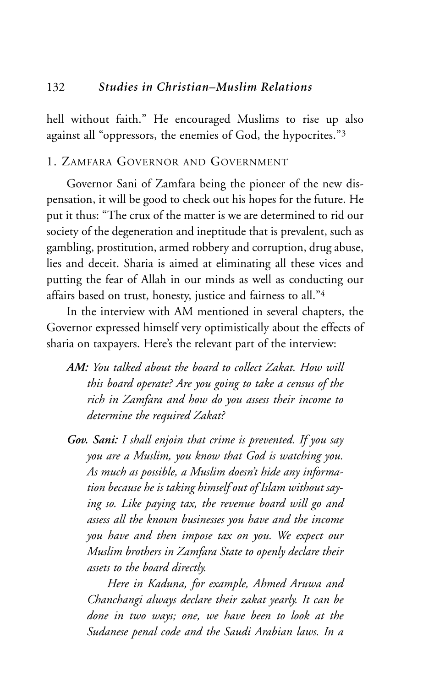hell without faith." He encouraged Muslims to rise up also against all "oppressors, the enemies of God, the hypocrites."3

## 1. ZAMFARA GOVERNOR AND GOVERNMENT

Governor Sani of Zamfara being the pioneer of the new dispensation, it will be good to check out his hopes for the future. He put it thus: "The crux of the matter is we are determined to rid our society of the degeneration and ineptitude that is prevalent, such as gambling, prostitution, armed robbery and corruption, drug abuse, lies and deceit. Sharia is aimed at eliminating all these vices and putting the fear of Allah in our minds as well as conducting our affairs based on trust, honesty, justice and fairness to all."4

In the interview with AM mentioned in several chapters, the Governor expressed himself very optimistically about the effects of sharia on taxpayers. Here's the relevant part of the interview:

- *AM: You talked about the board to collect Zakat. How will this board operate? Are you going to take a census of the rich in Zamfara and how do you assess their income to determine the required Zakat?*
- *Gov. Sani: I shall enjoin that crime is prevented. If you say you are a Muslim, you know that God is watching you. As much as possible, a Muslim doesn't hide any information because he is taking himself out of Islam without saying so. Like paying tax, the revenue board will go and assess all the known businesses you have and the income you have and then impose tax on you. We expect our Muslim brothers in Zamfara State to openly declare their assets to the board directly.*

*Here in Kaduna, for example, Ahmed Aruwa and Chanchangi always declare their zakat yearly. It can be done in two ways; one, we have been to look at the Sudanese penal code and the Saudi Arabian laws. In a*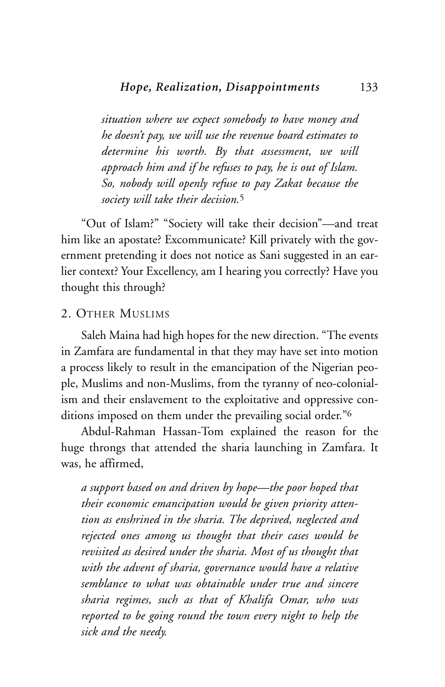*situation where we expect somebody to have money and he doesn't pay, we will use the revenue board estimates to determine his worth. By that assessment, we will approach him and if he refuses to pay, he is out of Islam. So, nobody will openly refuse to pay Zakat because the society will take their decision.*<sup>5</sup>

"Out of Islam?" "Society will take their decision"—and treat him like an apostate? Excommunicate? Kill privately with the government pretending it does not notice as Sani suggested in an earlier context? Your Excellency, am I hearing you correctly? Have you thought this through?

#### 2. OTHER MUSLIMS

Saleh Maina had high hopes for the new direction. "The events in Zamfara are fundamental in that they may have set into motion a process likely to result in the emancipation of the Nigerian people, Muslims and non-Muslims, from the tyranny of neo-colonialism and their enslavement to the exploitative and oppressive conditions imposed on them under the prevailing social order."6

Abdul-Rahman Hassan-Tom explained the reason for the huge throngs that attended the sharia launching in Zamfara. It was, he affirmed,

*a support based on and driven by hope—the poor hoped that their economic emancipation would be given priority attention as enshrined in the sharia. The deprived, neglected and rejected ones among us thought that their cases would be revisited as desired under the sharia. Most of us thought that with the advent of sharia, governance would have a relative semblance to what was obtainable under true and sincere sharia regimes, such as that of Khalifa Omar, who was reported to be going round the town every night to help the sick and the needy.*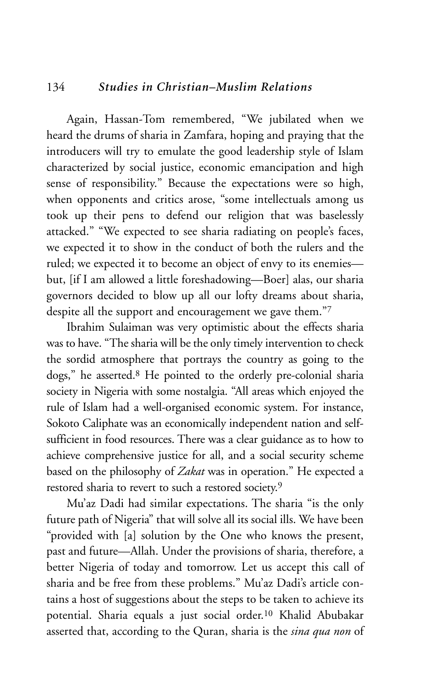#### 134 *Studies in Christian–Muslim Relations*

Again, Hassan-Tom remembered, "We jubilated when we heard the drums of sharia in Zamfara, hoping and praying that the introducers will try to emulate the good leadership style of Islam characterized by social justice, economic emancipation and high sense of responsibility." Because the expectations were so high, when opponents and critics arose, "some intellectuals among us took up their pens to defend our religion that was baselessly attacked." "We expected to see sharia radiating on people's faces, we expected it to show in the conduct of both the rulers and the ruled; we expected it to become an object of envy to its enemies but, [if I am allowed a little foreshadowing—Boer] alas, our sharia governors decided to blow up all our lofty dreams about sharia, despite all the support and encouragement we gave them."7

Ibrahim Sulaiman was very optimistic about the effects sharia was to have. "The sharia will be the only timely intervention to check the sordid atmosphere that portrays the country as going to the dogs," he asserted.8 He pointed to the orderly pre-colonial sharia society in Nigeria with some nostalgia. "All areas which enjoyed the rule of Islam had a well-organised economic system. For instance, Sokoto Caliphate was an economically independent nation and selfsufficient in food resources. There was a clear guidance as to how to achieve comprehensive justice for all, and a social security scheme based on the philosophy of *Zakat* was in operation." He expected a restored sharia to revert to such a restored society.9

Mu'az Dadi had similar expectations. The sharia "is the only future path of Nigeria" that will solve all its social ills. We have been "provided with [a] solution by the One who knows the present, past and future—Allah. Under the provisions of sharia, therefore, a better Nigeria of today and tomorrow. Let us accept this call of sharia and be free from these problems." Mu'az Dadi's article contains a host of suggestions about the steps to be taken to achieve its potential. Sharia equals a just social order.10 Khalid Abubakar asserted that, according to the Quran, sharia is the *sina qua non* of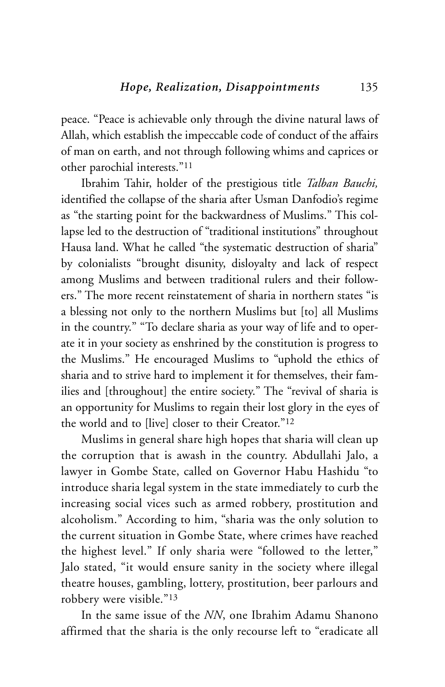peace. "Peace is achievable only through the divine natural laws of Allah, which establish the impeccable code of conduct of the affairs of man on earth, and not through following whims and caprices or other parochial interests."11

Ibrahim Tahir, holder of the prestigious title *Talban Bauchi,* identified the collapse of the sharia after Usman Danfodio's regime as "the starting point for the backwardness of Muslims." This collapse led to the destruction of "traditional institutions" throughout Hausa land. What he called "the systematic destruction of sharia" by colonialists "brought disunity, disloyalty and lack of respect among Muslims and between traditional rulers and their followers." The more recent reinstatement of sharia in northern states "is a blessing not only to the northern Muslims but [to] all Muslims in the country." "To declare sharia as your way of life and to operate it in your society as enshrined by the constitution is progress to the Muslims." He encouraged Muslims to "uphold the ethics of sharia and to strive hard to implement it for themselves, their families and [throughout] the entire society." The "revival of sharia is an opportunity for Muslims to regain their lost glory in the eyes of the world and to [live] closer to their Creator."12

Muslims in general share high hopes that sharia will clean up the corruption that is awash in the country. Abdullahi Jalo, a lawyer in Gombe State, called on Governor Habu Hashidu "to introduce sharia legal system in the state immediately to curb the increasing social vices such as armed robbery, prostitution and alcoholism." According to him, "sharia was the only solution to the current situation in Gombe State, where crimes have reached the highest level." If only sharia were "followed to the letter," Jalo stated, "it would ensure sanity in the society where illegal theatre houses, gambling, lottery, prostitution, beer parlours and robbery were visible."13

In the same issue of the *NN*, one Ibrahim Adamu Shanono affirmed that the sharia is the only recourse left to "eradicate all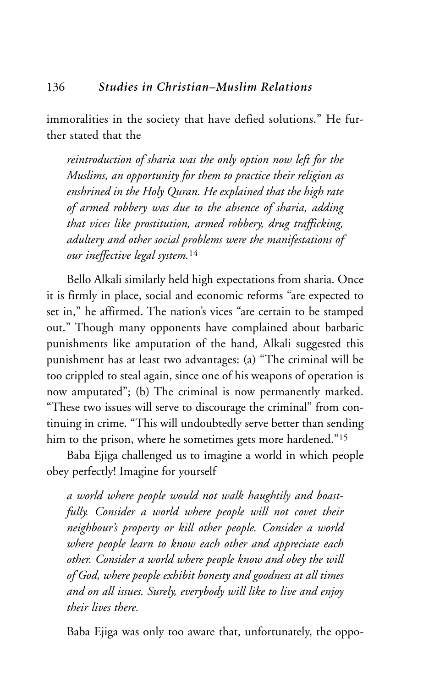immoralities in the society that have defied solutions." He further stated that the

*reintroduction of sharia was the only option now left for the Muslims, an opportunity for them to practice their religion as enshrined in the Holy Quran. He explained that the high rate of armed robbery was due to the absence of sharia, adding that vices like prostitution, armed robbery, drug trafficking, adultery and other social problems were the manifestations of our ineffective legal system.*<sup>14</sup>

Bello Alkali similarly held high expectations from sharia. Once it is firmly in place, social and economic reforms "are expected to set in," he affirmed. The nation's vices "are certain to be stamped out." Though many opponents have complained about barbaric punishments like amputation of the hand, Alkali suggested this punishment has at least two advantages: (a) "The criminal will be too crippled to steal again, since one of his weapons of operation is now amputated"; (b) The criminal is now permanently marked. "These two issues will serve to discourage the criminal" from continuing in crime. "This will undoubtedly serve better than sending him to the prison, where he sometimes gets more hardened."<sup>15</sup>

Baba Ejiga challenged us to imagine a world in which people obey perfectly! Imagine for yourself

*a world where people would not walk haughtily and boastfully. Consider a world where people will not covet their neighbour's property or kill other people. Consider a world where people learn to know each other and appreciate each other. Consider a world where people know and obey the will of God, where people exhibit honesty and goodness at all times and on all issues. Surely, everybody will like to live and enjoy their lives there.*

Baba Ejiga was only too aware that, unfortunately, the oppo-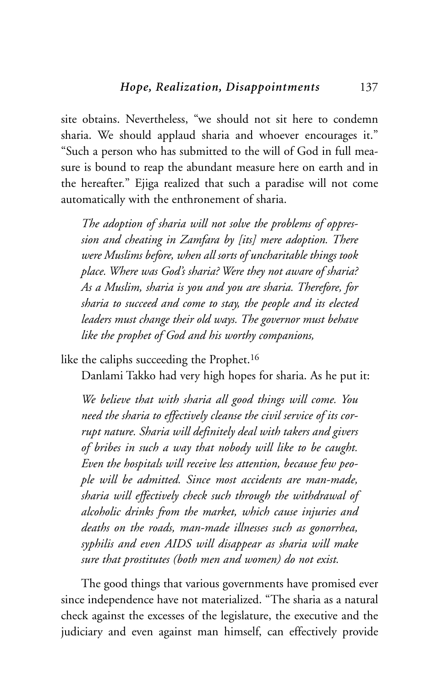site obtains. Nevertheless, "we should not sit here to condemn sharia. We should applaud sharia and whoever encourages it." "Such a person who has submitted to the will of God in full measure is bound to reap the abundant measure here on earth and in the hereafter." Ejiga realized that such a paradise will not come automatically with the enthronement of sharia.

*The adoption of sharia will not solve the problems of oppression and cheating in Zamfara by [its] mere adoption. There were Muslims before, when all sorts of uncharitable things took place. Where was God's sharia? Were they not aware of sharia? As a Muslim, sharia is you and you are sharia. Therefore, for sharia to succeed and come to stay, the people and its elected leaders must change their old ways. The governor must behave like the prophet of God and his worthy companions,*

like the caliphs succeeding the Prophet.16

Danlami Takko had very high hopes for sharia. As he put it:

*We believe that with sharia all good things will come. You need the sharia to effectively cleanse the civil service of its corrupt nature. Sharia will definitely deal with takers and givers of bribes in such a way that nobody will like to be caught. Even the hospitals will receive less attention, because few people will be admitted. Since most accidents are man-made, sharia will effectively check such through the withdrawal of alcoholic drinks from the market, which cause injuries and deaths on the roads, man-made illnesses such as gonorrhea, syphilis and even AIDS will disappear as sharia will make sure that prostitutes (both men and women) do not exist.*

The good things that various governments have promised ever since independence have not materialized. "The sharia as a natural check against the excesses of the legislature, the executive and the judiciary and even against man himself, can effectively provide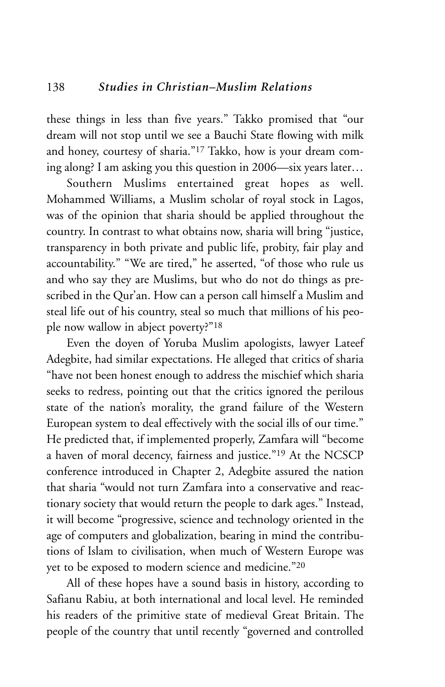these things in less than five years." Takko promised that "our dream will not stop until we see a Bauchi State flowing with milk and honey, courtesy of sharia."17 Takko, how is your dream coming along? I am asking you this question in 2006—six years later…

Southern Muslims entertained great hopes as well. Mohammed Williams, a Muslim scholar of royal stock in Lagos, was of the opinion that sharia should be applied throughout the country. In contrast to what obtains now, sharia will bring "justice, transparency in both private and public life, probity, fair play and accountability." "We are tired," he asserted, "of those who rule us and who say they are Muslims, but who do not do things as prescribed in the Qur'an. How can a person call himself a Muslim and steal life out of his country, steal so much that millions of his people now wallow in abject poverty?"18

Even the doyen of Yoruba Muslim apologists, lawyer Lateef Adegbite, had similar expectations. He alleged that critics of sharia "have not been honest enough to address the mischief which sharia seeks to redress, pointing out that the critics ignored the perilous state of the nation's morality, the grand failure of the Western European system to deal effectively with the social ills of our time." He predicted that, if implemented properly, Zamfara will "become a haven of moral decency, fairness and justice."19 At the NCSCP conference introduced in Chapter 2, Adegbite assured the nation that sharia "would not turn Zamfara into a conservative and reactionary society that would return the people to dark ages." Instead, it will become "progressive, science and technology oriented in the age of computers and globalization, bearing in mind the contributions of Islam to civilisation, when much of Western Europe was yet to be exposed to modern science and medicine."20

All of these hopes have a sound basis in history, according to Safianu Rabiu, at both international and local level. He reminded his readers of the primitive state of medieval Great Britain. The people of the country that until recently "governed and controlled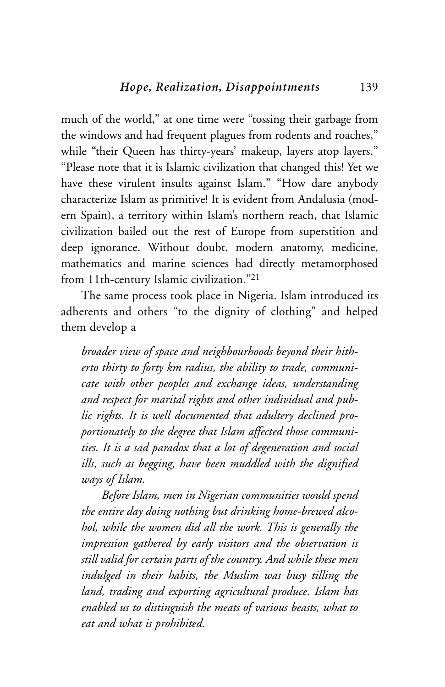much of the world," at one time were "tossing their garbage from the windows and had frequent plagues from rodents and roaches," while "their Queen has thirty-years' makeup, layers atop layers." "Please note that it is Islamic civilization that changed this! Yet we have these virulent insults against Islam." "How dare anybody characterize Islam as primitive! It is evident from Andalusia (modern Spain), a territory within Islam's northern reach, that Islamic civilization bailed out the rest of Europe from superstition and deep ignorance. Without doubt, modern anatomy, medicine, mathematics and marine sciences had directly metamorphosed from 11th-century Islamic civilization."21

The same process took place in Nigeria. Islam introduced its adherents and others "to the dignity of clothing" and helped them develop a

*broader view of space and neighbourhoods beyond their hitherto thirty to forty km radius, the ability to trade, communicate with other peoples and exchange ideas, understanding and respect for marital rights and other individual and public rights. It is well documented that adultery declined proportionately to the degree that Islam affected those communities. It is a sad paradox that a lot of degeneration and social ills, such as begging, have been muddled with the dignified ways of Islam.* 

*Before Islam, men in Nigerian communities would spend the entire day doing nothing but drinking home-brewed alcohol, while the women did all the work. This is generally the impression gathered by early visitors and the observation is still valid for certain parts of the country. And while these men indulged in their habits, the Muslim was busy tilling the land, trading and exporting agricultural produce. Islam has enabled us to distinguish the meats of various beasts, what to eat and what is prohibited.*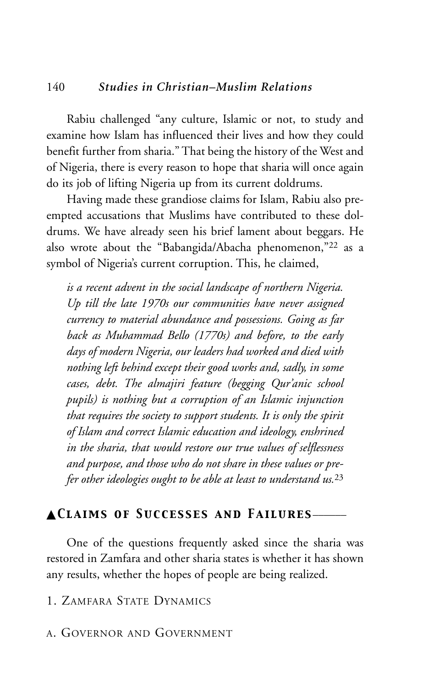#### 140 *Studies in Christian–Muslim Relations*

Rabiu challenged "any culture, Islamic or not, to study and examine how Islam has influenced their lives and how they could benefit further from sharia." That being the history of the West and of Nigeria, there is every reason to hope that sharia will once again do its job of lifting Nigeria up from its current doldrums.

Having made these grandiose claims for Islam, Rabiu also preempted accusations that Muslims have contributed to these doldrums. We have already seen his brief lament about beggars. He also wrote about the "Babangida/Abacha phenomenon,"22 as a symbol of Nigeria's current corruption. This, he claimed,

*is a recent advent in the social landscape of northern Nigeria. Up till the late 1970s our communities have never assigned currency to material abundance and possessions. Going as far back as Muhammad Bello (1770s) and before, to the early days of modern Nigeria, our leaders had worked and died with nothing left behind except their good works and, sadly, in some cases, debt. The almajiri feature (begging Qur'anic school pupils) is nothing but a corruption of an Islamic injunction that requires the society to support students. It is only the spirit of Islam and correct Islamic education and ideology, enshrined in the sharia, that would restore our true values of selflessness and purpose, and those who do not share in these values or prefer other ideologies ought to be able at least to understand us.*<sup>23</sup>

#### ▲*Claims of Successes and Failures*\_\_\_\_\_\_

One of the questions frequently asked since the sharia was restored in Zamfara and other sharia states is whether it has shown any results, whether the hopes of people are being realized.

1. ZAMFARA STATE DYNAMICS

A. GOVERNOR AND GOVERNMENT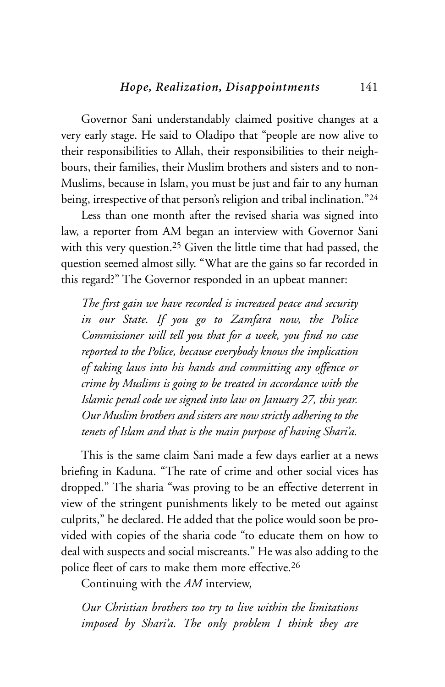Governor Sani understandably claimed positive changes at a very early stage. He said to Oladipo that "people are now alive to their responsibilities to Allah, their responsibilities to their neighbours, their families, their Muslim brothers and sisters and to non-Muslims, because in Islam, you must be just and fair to any human being, irrespective of that person's religion and tribal inclination."24

Less than one month after the revised sharia was signed into law, a reporter from AM began an interview with Governor Sani with this very question.25 Given the little time that had passed, the question seemed almost silly. "What are the gains so far recorded in this regard?" The Governor responded in an upbeat manner:

*The first gain we have recorded is increased peace and security in our State. If you go to Zamfara now, the Police Commissioner will tell you that for a week, you find no case reported to the Police, because everybody knows the implication of taking laws into his hands and committing any offence or crime by Muslims is going to be treated in accordance with the Islamic penal code we signed into law on January 27, this year. Our Muslim brothers and sisters are now strictly adhering to the tenets of Islam and that is the main purpose of having Shari'a.*

This is the same claim Sani made a few days earlier at a news briefing in Kaduna. "The rate of crime and other social vices has dropped." The sharia "was proving to be an effective deterrent in view of the stringent punishments likely to be meted out against culprits," he declared. He added that the police would soon be provided with copies of the sharia code "to educate them on how to deal with suspects and social miscreants." He was also adding to the police fleet of cars to make them more effective.26

Continuing with the *AM* interview,

*Our Christian brothers too try to live within the limitations imposed by Shari'a. The only problem I think they are*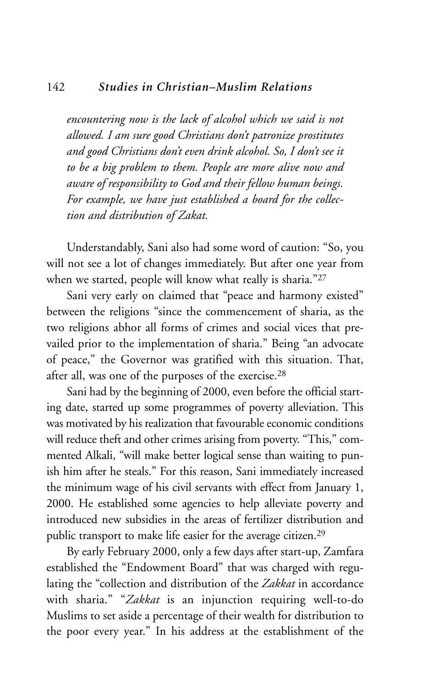#### 142 *Studies in Christian–Muslim Relations*

*encountering now is the lack of alcohol which we said is not allowed. I am sure good Christians don't patronize prostitutes and good Christians don't even drink alcohol. So, I don't see it to be a big problem to them. People are more alive now and aware of responsibility to God and their fellow human beings. For example, we have just established a board for the collection and distribution of Zakat.*

Understandably, Sani also had some word of caution: "So, you will not see a lot of changes immediately. But after one year from when we started, people will know what really is sharia."27

Sani very early on claimed that "peace and harmony existed" between the religions "since the commencement of sharia, as the two religions abhor all forms of crimes and social vices that prevailed prior to the implementation of sharia." Being "an advocate of peace," the Governor was gratified with this situation. That, after all, was one of the purposes of the exercise.28

Sani had by the beginning of 2000, even before the official starting date, started up some programmes of poverty alleviation. This was motivated by his realization that favourable economic conditions will reduce theft and other crimes arising from poverty. "This," commented Alkali, "will make better logical sense than waiting to punish him after he steals." For this reason, Sani immediately increased the minimum wage of his civil servants with effect from January 1, 2000. He established some agencies to help alleviate poverty and introduced new subsidies in the areas of fertilizer distribution and public transport to make life easier for the average citizen.29

By early February 2000, only a few days after start-up, Zamfara established the "Endowment Board" that was charged with regulating the "collection and distribution of the *Zakkat* in accordance with sharia." "*Zakkat* is an injunction requiring well-to-do Muslims to set aside a percentage of their wealth for distribution to the poor every year." In his address at the establishment of the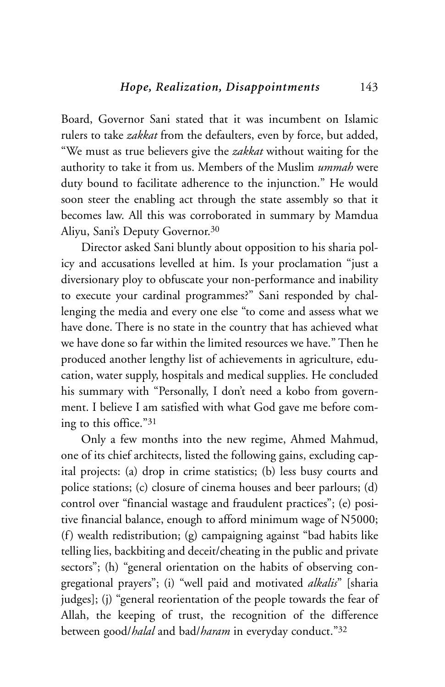Board, Governor Sani stated that it was incumbent on Islamic rulers to take *zakkat* from the defaulters, even by force, but added, "We must as true believers give the *zakkat* without waiting for the authority to take it from us. Members of the Muslim *ummah* were duty bound to facilitate adherence to the injunction." He would soon steer the enabling act through the state assembly so that it becomes law. All this was corroborated in summary by Mamdua Aliyu, Sani's Deputy Governor.30

Director asked Sani bluntly about opposition to his sharia policy and accusations levelled at him. Is your proclamation "just a diversionary ploy to obfuscate your non-performance and inability to execute your cardinal programmes?" Sani responded by challenging the media and every one else "to come and assess what we have done. There is no state in the country that has achieved what we have done so far within the limited resources we have." Then he produced another lengthy list of achievements in agriculture, education, water supply, hospitals and medical supplies. He concluded his summary with "Personally, I don't need a kobo from government. I believe I am satisfied with what God gave me before coming to this office."31

Only a few months into the new regime, Ahmed Mahmud, one of its chief architects, listed the following gains, excluding capital projects: (a) drop in crime statistics; (b) less busy courts and police stations; (c) closure of cinema houses and beer parlours; (d) control over "financial wastage and fraudulent practices"; (e) positive financial balance, enough to afford minimum wage of N5000; (f) wealth redistribution; (g) campaigning against "bad habits like telling lies, backbiting and deceit/cheating in the public and private sectors"; (h) "general orientation on the habits of observing congregational prayers"; (i) "well paid and motivated *alkalis*" [sharia judges]; (j) "general reorientation of the people towards the fear of Allah, the keeping of trust, the recognition of the difference between good/*halal* and bad/*haram* in everyday conduct."32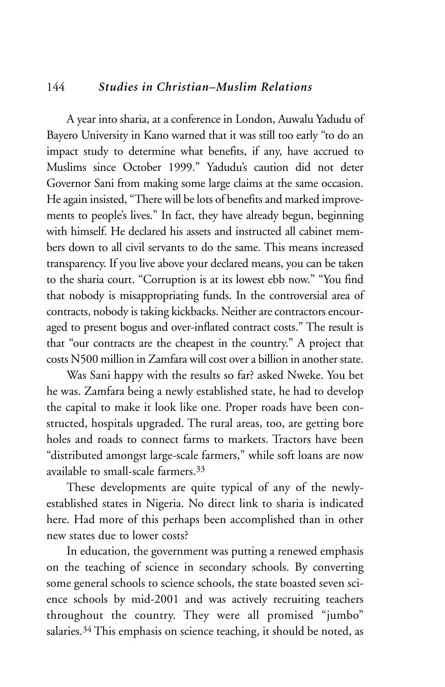#### 144 *Studies in Christian–Muslim Relations*

A year into sharia, at a conference in London, Auwalu Yadudu of Bayero University in Kano warned that it was still too early "to do an impact study to determine what benefits, if any, have accrued to Muslims since October 1999." Yadudu's caution did not deter Governor Sani from making some large claims at the same occasion. He again insisted, "There will be lots of benefits and marked improvements to people's lives." In fact, they have already begun, beginning with himself. He declared his assets and instructed all cabinet members down to all civil servants to do the same. This means increased transparency. If you live above your declared means, you can be taken to the sharia court. "Corruption is at its lowest ebb now." "You find that nobody is misappropriating funds. In the controversial area of contracts, nobody is taking kickbacks. Neither are contractors encouraged to present bogus and over-inflated contract costs." The result is that "our contracts are the cheapest in the country." A project that costs N500 million in Zamfara will cost over a billion in another state.

Was Sani happy with the results so far? asked Nweke. You bet he was. Zamfara being a newly established state, he had to develop the capital to make it look like one. Proper roads have been constructed, hospitals upgraded. The rural areas, too, are getting bore holes and roads to connect farms to markets. Tractors have been "distributed amongst large-scale farmers," while soft loans are now available to small-scale farmers.33

These developments are quite typical of any of the newlyestablished states in Nigeria. No direct link to sharia is indicated here. Had more of this perhaps been accomplished than in other new states due to lower costs?

In education, the government was putting a renewed emphasis on the teaching of science in secondary schools. By converting some general schools to science schools, the state boasted seven science schools by mid-2001 and was actively recruiting teachers throughout the country. They were all promised "jumbo" salaries.<sup>34</sup> This emphasis on science teaching, it should be noted, as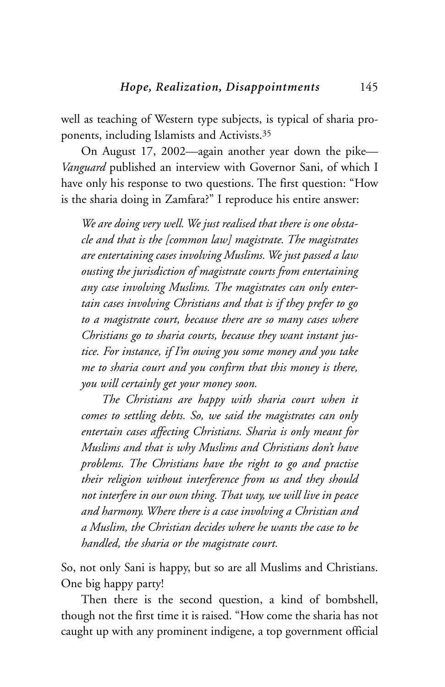well as teaching of Western type subjects, is typical of sharia proponents, including Islamists and Activists.35

On August 17, 2002—again another year down the pike— *Vanguard* published an interview with Governor Sani, of which I have only his response to two questions. The first question: "How is the sharia doing in Zamfara?" I reproduce his entire answer:

*We are doing very well. We just realised that there is one obstacle and that is the [common law] magistrate. The magistrates are entertaining cases involving Muslims. We just passed a law ousting the jurisdiction of magistrate courts from entertaining any case involving Muslims. The magistrates can only entertain cases involving Christians and that is if they prefer to go to a magistrate court, because there are so many cases where Christians go to sharia courts, because they want instant justice. For instance, if I'm owing you some money and you take me to sharia court and you confirm that this money is there, you will certainly get your money soon.*

*The Christians are happy with sharia court when it comes to settling debts. So, we said the magistrates can only entertain cases affecting Christians. Sharia is only meant for Muslims and that is why Muslims and Christians don't have problems. The Christians have the right to go and practise their religion without interference from us and they should not interfere in our own thing. That way, we will live in peace and harmony. Where there is a case involving a Christian and a Muslim, the Christian decides where he wants the case to be handled, the sharia or the magistrate court.*

So, not only Sani is happy, but so are all Muslims and Christians. One big happy party!

Then there is the second question, a kind of bombshell, though not the first time it is raised. "How come the sharia has not caught up with any prominent indigene, a top government official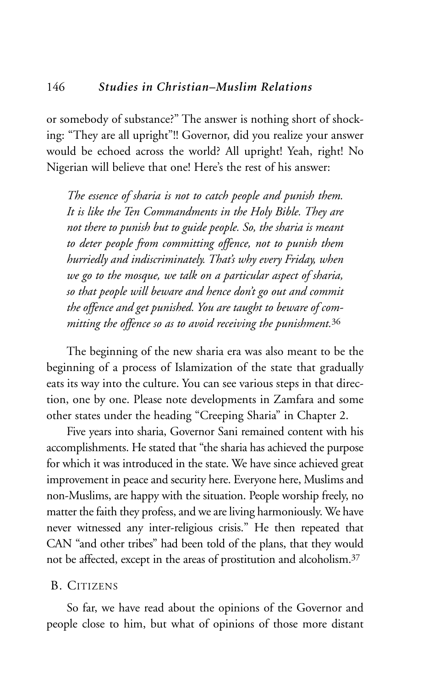or somebody of substance?" The answer is nothing short of shocking: "They are all upright"!! Governor, did you realize your answer would be echoed across the world? All upright! Yeah, right! No Nigerian will believe that one! Here's the rest of his answer:

*The essence of sharia is not to catch people and punish them. It is like the Ten Commandments in the Holy Bible. They are not there to punish but to guide people. So, the sharia is meant to deter people from committing offence, not to punish them hurriedly and indiscriminately. That's why every Friday, when we go to the mosque, we talk on a particular aspect of sharia, so that people will beware and hence don't go out and commit the offence and get punished. You are taught to beware of committing the offence so as to avoid receiving the punishment.*<sup>36</sup>

The beginning of the new sharia era was also meant to be the beginning of a process of Islamization of the state that gradually eats its way into the culture. You can see various steps in that direction, one by one. Please note developments in Zamfara and some other states under the heading "Creeping Sharia" in Chapter 2.

Five years into sharia, Governor Sani remained content with his accomplishments. He stated that "the sharia has achieved the purpose for which it was introduced in the state. We have since achieved great improvement in peace and security here. Everyone here, Muslims and non-Muslims, are happy with the situation. People worship freely, no matter the faith they profess, and we are living harmoniously. We have never witnessed any inter-religious crisis." He then repeated that CAN "and other tribes" had been told of the plans, that they would not be affected, except in the areas of prostitution and alcoholism.37

#### B. CITIZENS

So far, we have read about the opinions of the Governor and people close to him, but what of opinions of those more distant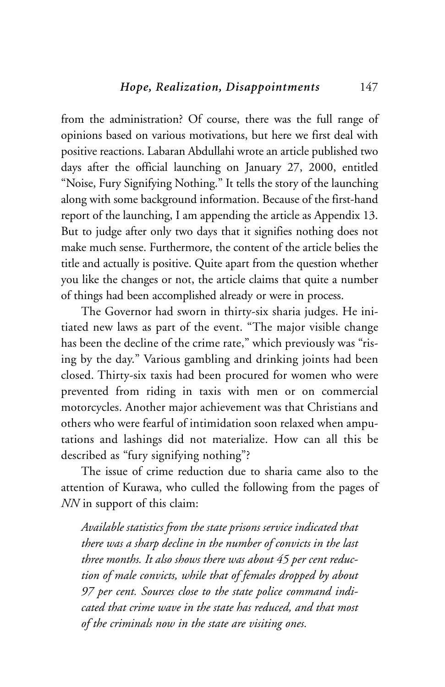from the administration? Of course, there was the full range of opinions based on various motivations, but here we first deal with positive reactions. Labaran Abdullahi wrote an article published two days after the official launching on January 27, 2000, entitled "Noise, Fury Signifying Nothing." It tells the story of the launching along with some background information. Because of the first-hand report of the launching, I am appending the article as Appendix 13. But to judge after only two days that it signifies nothing does not make much sense. Furthermore, the content of the article belies the title and actually is positive. Quite apart from the question whether you like the changes or not, the article claims that quite a number of things had been accomplished already or were in process.

The Governor had sworn in thirty-six sharia judges. He initiated new laws as part of the event. "The major visible change has been the decline of the crime rate," which previously was "rising by the day." Various gambling and drinking joints had been closed. Thirty-six taxis had been procured for women who were prevented from riding in taxis with men or on commercial motorcycles. Another major achievement was that Christians and others who were fearful of intimidation soon relaxed when amputations and lashings did not materialize. How can all this be described as "fury signifying nothing"?

The issue of crime reduction due to sharia came also to the attention of Kurawa, who culled the following from the pages of *NN* in support of this claim:

*Available statistics from the state prisons service indicated that there was a sharp decline in the number of convicts in the last three months. It also shows there was about 45 per cent reduction of male convicts, while that of females dropped by about 97 per cent. Sources close to the state police command indicated that crime wave in the state has reduced, and that most of the criminals now in the state are visiting ones.*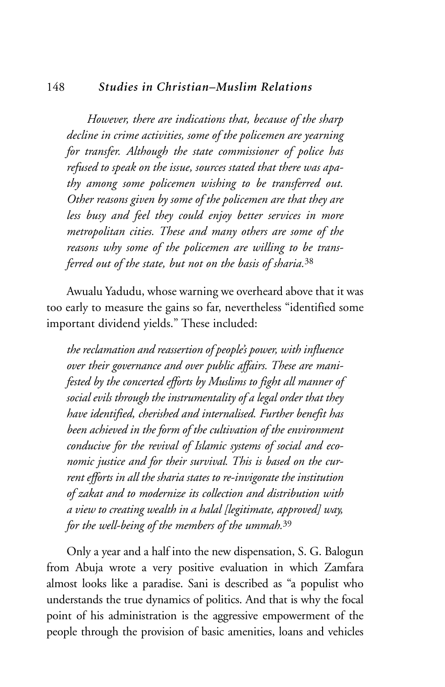#### 148 *Studies in Christian–Muslim Relations*

*However, there are indications that, because of the sharp decline in crime activities, some of the policemen are yearning for transfer. Although the state commissioner of police has refused to speak on the issue, sources stated that there was apathy among some policemen wishing to be transferred out. Other reasons given by some of the policemen are that they are less busy and feel they could enjoy better services in more metropolitan cities. These and many others are some of the reasons why some of the policemen are willing to be transferred out of the state, but not on the basis of sharia.*<sup>38</sup>

Awualu Yadudu, whose warning we overheard above that it was too early to measure the gains so far, nevertheless "identified some important dividend yields." These included:

*the reclamation and reassertion of people's power, with influence over their governance and over public affairs. These are manifested by the concerted efforts by Muslims to fight all manner of social evils through the instrumentality of a legal order that they have identified, cherished and internalised. Further benefit has been achieved in the form of the cultivation of the environment conducive for the revival of Islamic systems of social and economic justice and for their survival. This is based on the current efforts in all the sharia states to re-invigorate the institution of zakat and to modernize its collection and distribution with a view to creating wealth in a halal [legitimate, approved] way, for the well-being of the members of the ummah.*<sup>39</sup>

Only a year and a half into the new dispensation, S. G. Balogun from Abuja wrote a very positive evaluation in which Zamfara almost looks like a paradise. Sani is described as "a populist who understands the true dynamics of politics. And that is why the focal point of his administration is the aggressive empowerment of the people through the provision of basic amenities, loans and vehicles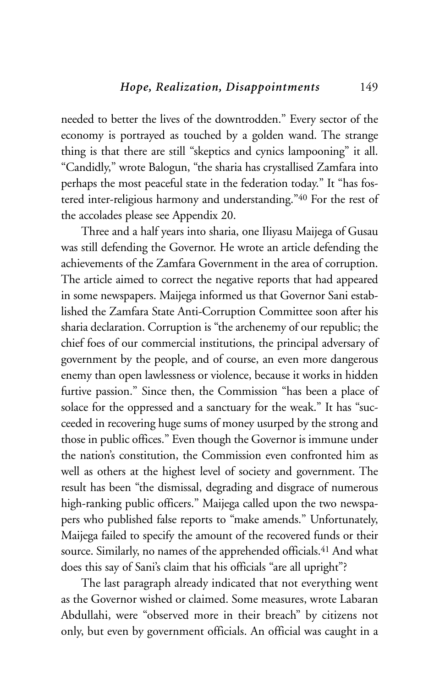needed to better the lives of the downtrodden." Every sector of the economy is portrayed as touched by a golden wand. The strange thing is that there are still "skeptics and cynics lampooning" it all. "Candidly," wrote Balogun, "the sharia has crystallised Zamfara into perhaps the most peaceful state in the federation today." It "has fostered inter-religious harmony and understanding."40 For the rest of the accolades please see Appendix 20.

Three and a half years into sharia, one Iliyasu Maijega of Gusau was still defending the Governor. He wrote an article defending the achievements of the Zamfara Government in the area of corruption. The article aimed to correct the negative reports that had appeared in some newspapers. Maijega informed us that Governor Sani established the Zamfara State Anti-Corruption Committee soon after his sharia declaration. Corruption is "the archenemy of our republic; the chief foes of our commercial institutions, the principal adversary of government by the people, and of course, an even more dangerous enemy than open lawlessness or violence, because it works in hidden furtive passion." Since then, the Commission "has been a place of solace for the oppressed and a sanctuary for the weak." It has "succeeded in recovering huge sums of money usurped by the strong and those in public offices." Even though the Governor is immune under the nation's constitution, the Commission even confronted him as well as others at the highest level of society and government. The result has been "the dismissal, degrading and disgrace of numerous high-ranking public officers." Maijega called upon the two newspapers who published false reports to "make amends." Unfortunately, Maijega failed to specify the amount of the recovered funds or their source. Similarly, no names of the apprehended officials.<sup>41</sup> And what does this say of Sani's claim that his officials "are all upright"?

The last paragraph already indicated that not everything went as the Governor wished or claimed. Some measures, wrote Labaran Abdullahi, were "observed more in their breach" by citizens not only, but even by government officials. An official was caught in a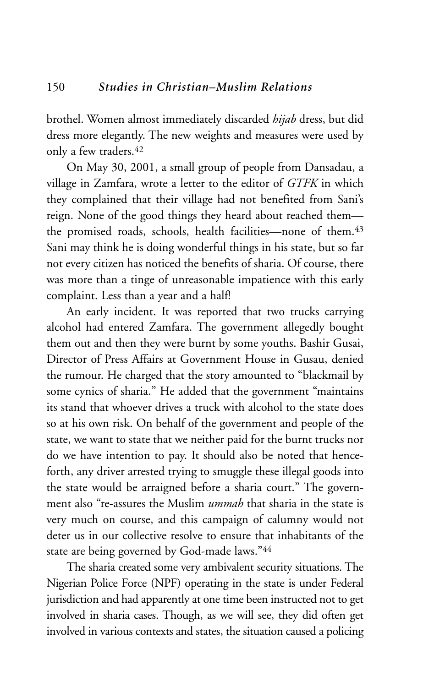brothel. Women almost immediately discarded *hijab* dress, but did dress more elegantly. The new weights and measures were used by only a few traders.<sup>42</sup>

On May 30, 2001, a small group of people from Dansadau, a village in Zamfara, wrote a letter to the editor of *GTFK* in which they complained that their village had not benefited from Sani's reign. None of the good things they heard about reached them the promised roads, schools, health facilities—none of them.<sup>43</sup> Sani may think he is doing wonderful things in his state, but so far not every citizen has noticed the benefits of sharia. Of course, there was more than a tinge of unreasonable impatience with this early complaint. Less than a year and a half!

An early incident. It was reported that two trucks carrying alcohol had entered Zamfara. The government allegedly bought them out and then they were burnt by some youths. Bashir Gusai, Director of Press Affairs at Government House in Gusau, denied the rumour. He charged that the story amounted to "blackmail by some cynics of sharia." He added that the government "maintains its stand that whoever drives a truck with alcohol to the state does so at his own risk. On behalf of the government and people of the state, we want to state that we neither paid for the burnt trucks nor do we have intention to pay. It should also be noted that henceforth, any driver arrested trying to smuggle these illegal goods into the state would be arraigned before a sharia court." The government also "re-assures the Muslim *ummah* that sharia in the state is very much on course, and this campaign of calumny would not deter us in our collective resolve to ensure that inhabitants of the state are being governed by God-made laws."44

The sharia created some very ambivalent security situations. The Nigerian Police Force (NPF) operating in the state is under Federal jurisdiction and had apparently at one time been instructed not to get involved in sharia cases. Though, as we will see, they did often get involved in various contexts and states, the situation caused a policing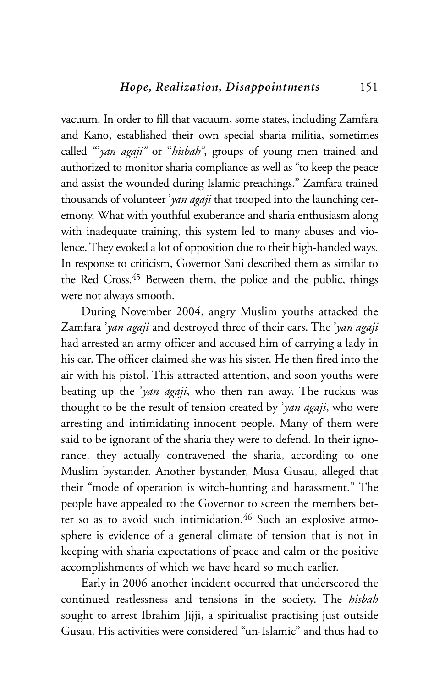vacuum. In order to fill that vacuum, some states, including Zamfara and Kano, established their own special sharia militia, sometimes called "'*yan agaji"* or "*hisbah"*, groups of young men trained and authorized to monitor sharia compliance as well as "to keep the peace and assist the wounded during Islamic preachings." Zamfara trained thousands of volunteer '*yan agaji* that trooped into the launching ceremony. What with youthful exuberance and sharia enthusiasm along with inadequate training, this system led to many abuses and violence. They evoked a lot of opposition due to their high-handed ways. In response to criticism, Governor Sani described them as similar to the Red Cross.<sup>45</sup> Between them, the police and the public, things were not always smooth.

During November 2004, angry Muslim youths attacked the Zamfara '*yan agaji* and destroyed three of their cars. The '*yan agaji* had arrested an army officer and accused him of carrying a lady in his car. The officer claimed she was his sister. He then fired into the air with his pistol. This attracted attention, and soon youths were beating up the '*yan agaji*, who then ran away. The ruckus was thought to be the result of tension created by '*yan agaji*, who were arresting and intimidating innocent people. Many of them were said to be ignorant of the sharia they were to defend. In their ignorance, they actually contravened the sharia, according to one Muslim bystander. Another bystander, Musa Gusau, alleged that their "mode of operation is witch-hunting and harassment." The people have appealed to the Governor to screen the members better so as to avoid such intimidation.<sup>46</sup> Such an explosive atmosphere is evidence of a general climate of tension that is not in keeping with sharia expectations of peace and calm or the positive accomplishments of which we have heard so much earlier.

Early in 2006 another incident occurred that underscored the continued restlessness and tensions in the society. The *hisbah* sought to arrest Ibrahim Jijji, a spiritualist practising just outside Gusau. His activities were considered "un-Islamic" and thus had to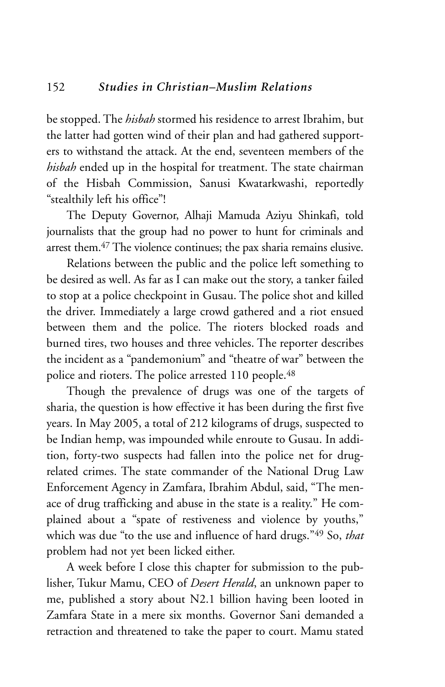be stopped. The *hisbah* stormed his residence to arrest Ibrahim, but the latter had gotten wind of their plan and had gathered supporters to withstand the attack. At the end, seventeen members of the *hisbah* ended up in the hospital for treatment. The state chairman of the Hisbah Commission, Sanusi Kwatarkwashi, reportedly "stealthily left his office"!

The Deputy Governor, Alhaji Mamuda Aziyu Shinkafi, told journalists that the group had no power to hunt for criminals and arrest them.<sup>47</sup> The violence continues; the pax sharia remains elusive.

Relations between the public and the police left something to be desired as well. As far as I can make out the story, a tanker failed to stop at a police checkpoint in Gusau. The police shot and killed the driver. Immediately a large crowd gathered and a riot ensued between them and the police. The rioters blocked roads and burned tires, two houses and three vehicles. The reporter describes the incident as a "pandemonium" and "theatre of war" between the police and rioters. The police arrested 110 people.<sup>48</sup>

Though the prevalence of drugs was one of the targets of sharia, the question is how effective it has been during the first five years. In May 2005, a total of 212 kilograms of drugs, suspected to be Indian hemp, was impounded while enroute to Gusau. In addition, forty-two suspects had fallen into the police net for drugrelated crimes. The state commander of the National Drug Law Enforcement Agency in Zamfara, Ibrahim Abdul, said, "The menace of drug trafficking and abuse in the state is a reality." He complained about a "spate of restiveness and violence by youths," which was due "to the use and influence of hard drugs."49 So, *that* problem had not yet been licked either.

A week before I close this chapter for submission to the publisher, Tukur Mamu, CEO of *Desert Herald*, an unknown paper to me, published a story about N2.1 billion having been looted in Zamfara State in a mere six months. Governor Sani demanded a retraction and threatened to take the paper to court. Mamu stated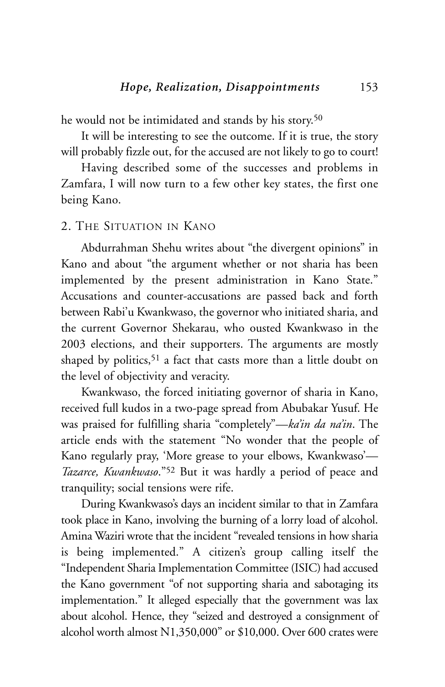he would not be intimidated and stands by his story.<sup>50</sup>

It will be interesting to see the outcome. If it is true, the story will probably fizzle out, for the accused are not likely to go to court!

Having described some of the successes and problems in Zamfara, I will now turn to a few other key states, the first one being Kano.

#### 2. THE SITUATION IN KANO

Abdurrahman Shehu writes about "the divergent opinions" in Kano and about "the argument whether or not sharia has been implemented by the present administration in Kano State." Accusations and counter-accusations are passed back and forth between Rabi'u Kwankwaso, the governor who initiated sharia, and the current Governor Shekarau, who ousted Kwankwaso in the 2003 elections, and their supporters. The arguments are mostly shaped by politics,<sup>51</sup> a fact that casts more than a little doubt on the level of objectivity and veracity.

Kwankwaso, the forced initiating governor of sharia in Kano, received full kudos in a two-page spread from Abubakar Yusuf. He was praised for fulfilling sharia "completely"—*ka'in da na'in*. The article ends with the statement "No wonder that the people of Kano regularly pray, 'More grease to your elbows, Kwankwaso'— *Tazarce, Kwankwaso*."52 But it was hardly a period of peace and tranquility; social tensions were rife.

During Kwankwaso's days an incident similar to that in Zamfara took place in Kano, involving the burning of a lorry load of alcohol. Amina Waziri wrote that the incident "revealed tensions in how sharia is being implemented." A citizen's group calling itself the "Independent Sharia Implementation Committee (ISIC) had accused the Kano government "of not supporting sharia and sabotaging its implementation." It alleged especially that the government was lax about alcohol. Hence, they "seized and destroyed a consignment of alcohol worth almost N1,350,000" or \$10,000. Over 600 crates were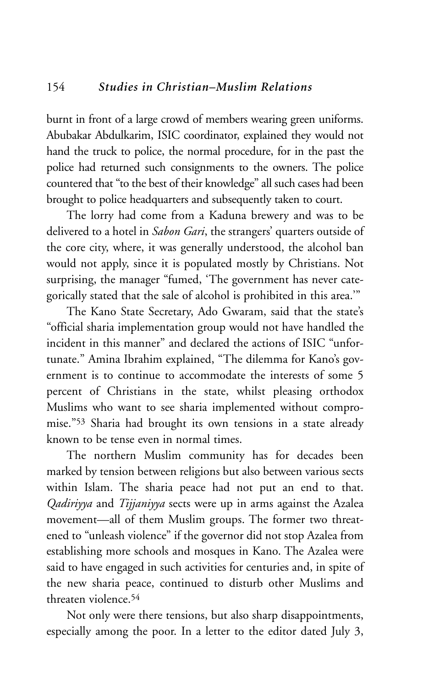burnt in front of a large crowd of members wearing green uniforms. Abubakar Abdulkarim, ISIC coordinator, explained they would not hand the truck to police, the normal procedure, for in the past the police had returned such consignments to the owners. The police countered that "to the best of their knowledge" all such cases had been brought to police headquarters and subsequently taken to court.

The lorry had come from a Kaduna brewery and was to be delivered to a hotel in *Sabon Gari*, the strangers' quarters outside of the core city, where, it was generally understood, the alcohol ban would not apply, since it is populated mostly by Christians. Not surprising, the manager "fumed, 'The government has never categorically stated that the sale of alcohol is prohibited in this area.'"

The Kano State Secretary, Ado Gwaram, said that the state's "official sharia implementation group would not have handled the incident in this manner" and declared the actions of ISIC "unfortunate." Amina Ibrahim explained, "The dilemma for Kano's government is to continue to accommodate the interests of some 5 percent of Christians in the state, whilst pleasing orthodox Muslims who want to see sharia implemented without compromise."53 Sharia had brought its own tensions in a state already known to be tense even in normal times.

The northern Muslim community has for decades been marked by tension between religions but also between various sects within Islam. The sharia peace had not put an end to that. *Qadiriyya* and *Tijjaniyya* sects were up in arms against the Azalea movement—all of them Muslim groups. The former two threatened to "unleash violence" if the governor did not stop Azalea from establishing more schools and mosques in Kano. The Azalea were said to have engaged in such activities for centuries and, in spite of the new sharia peace, continued to disturb other Muslims and threaten violence.54

Not only were there tensions, but also sharp disappointments, especially among the poor. In a letter to the editor dated July 3,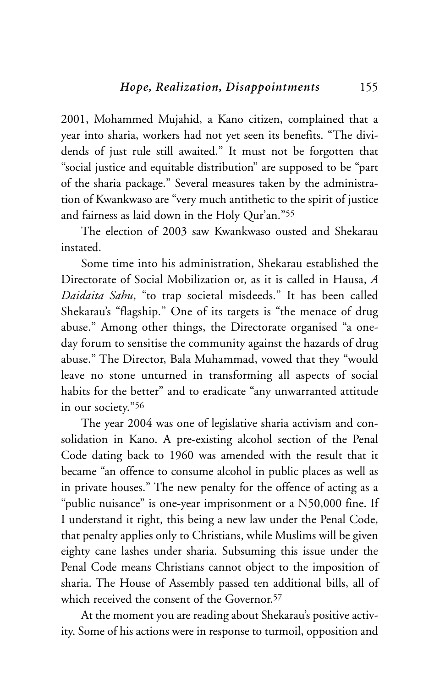2001, Mohammed Mujahid, a Kano citizen, complained that a year into sharia, workers had not yet seen its benefits. "The dividends of just rule still awaited." It must not be forgotten that "social justice and equitable distribution" are supposed to be "part of the sharia package." Several measures taken by the administration of Kwankwaso are "very much antithetic to the spirit of justice and fairness as laid down in the Holy Qur'an."55

The election of 2003 saw Kwankwaso ousted and Shekarau instated.

Some time into his administration, Shekarau established the Directorate of Social Mobilization or, as it is called in Hausa, *A Daidaita Sahu*, "to trap societal misdeeds." It has been called Shekarau's "flagship." One of its targets is "the menace of drug abuse." Among other things, the Directorate organised "a oneday forum to sensitise the community against the hazards of drug abuse." The Director, Bala Muhammad, vowed that they "would leave no stone unturned in transforming all aspects of social habits for the better" and to eradicate "any unwarranted attitude in our society."56

The year 2004 was one of legislative sharia activism and consolidation in Kano. A pre-existing alcohol section of the Penal Code dating back to 1960 was amended with the result that it became "an offence to consume alcohol in public places as well as in private houses." The new penalty for the offence of acting as a "public nuisance" is one-year imprisonment or a N50,000 fine. If I understand it right, this being a new law under the Penal Code, that penalty applies only to Christians, while Muslims will be given eighty cane lashes under sharia. Subsuming this issue under the Penal Code means Christians cannot object to the imposition of sharia. The House of Assembly passed ten additional bills, all of which received the consent of the Governor.<sup>57</sup>

At the moment you are reading about Shekarau's positive activity. Some of his actions were in response to turmoil, opposition and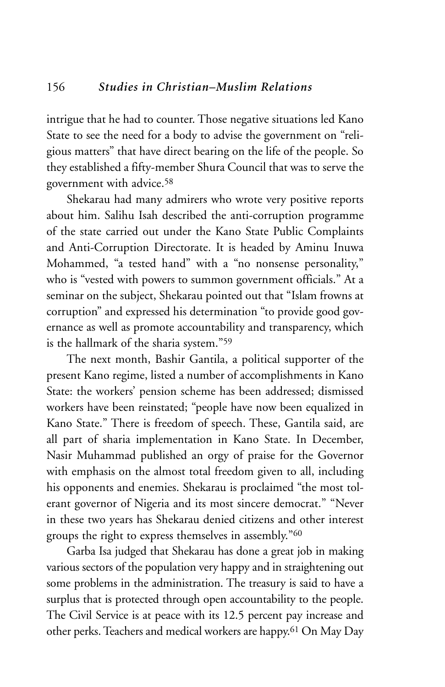intrigue that he had to counter. Those negative situations led Kano State to see the need for a body to advise the government on "religious matters" that have direct bearing on the life of the people. So they established a fifty-member Shura Council that was to serve the government with advice.58

Shekarau had many admirers who wrote very positive reports about him. Salihu Isah described the anti-corruption programme of the state carried out under the Kano State Public Complaints and Anti-Corruption Directorate. It is headed by Aminu Inuwa Mohammed, "a tested hand" with a "no nonsense personality," who is "vested with powers to summon government officials." At a seminar on the subject, Shekarau pointed out that "Islam frowns at corruption" and expressed his determination "to provide good governance as well as promote accountability and transparency, which is the hallmark of the sharia system."59

The next month, Bashir Gantila, a political supporter of the present Kano regime, listed a number of accomplishments in Kano State: the workers' pension scheme has been addressed; dismissed workers have been reinstated; "people have now been equalized in Kano State." There is freedom of speech. These, Gantila said, are all part of sharia implementation in Kano State. In December, Nasir Muhammad published an orgy of praise for the Governor with emphasis on the almost total freedom given to all, including his opponents and enemies. Shekarau is proclaimed "the most tolerant governor of Nigeria and its most sincere democrat." "Never in these two years has Shekarau denied citizens and other interest groups the right to express themselves in assembly."60

Garba Isa judged that Shekarau has done a great job in making various sectors of the population very happy and in straightening out some problems in the administration. The treasury is said to have a surplus that is protected through open accountability to the people. The Civil Service is at peace with its 12.5 percent pay increase and other perks. Teachers and medical workers are happy.61 On May Day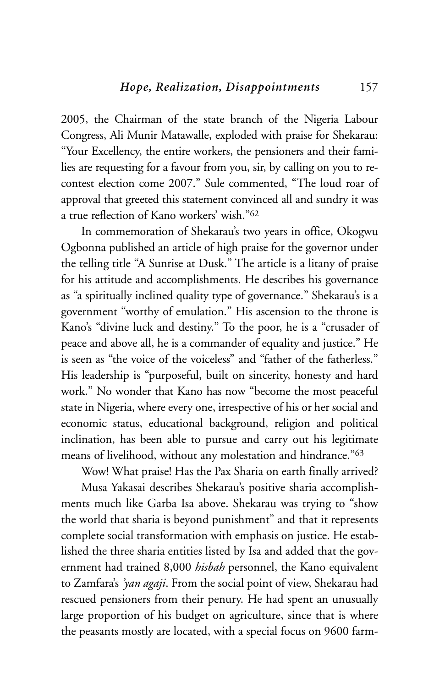2005, the Chairman of the state branch of the Nigeria Labour Congress, Ali Munir Matawalle, exploded with praise for Shekarau: "Your Excellency, the entire workers, the pensioners and their families are requesting for a favour from you, sir, by calling on you to recontest election come 2007." Sule commented, "The loud roar of approval that greeted this statement convinced all and sundry it was a true reflection of Kano workers' wish."62

In commemoration of Shekarau's two years in office, Okogwu Ogbonna published an article of high praise for the governor under the telling title "A Sunrise at Dusk." The article is a litany of praise for his attitude and accomplishments. He describes his governance as "a spiritually inclined quality type of governance." Shekarau's is a government "worthy of emulation." His ascension to the throne is Kano's "divine luck and destiny." To the poor, he is a "crusader of peace and above all, he is a commander of equality and justice." He is seen as "the voice of the voiceless" and "father of the fatherless." His leadership is "purposeful, built on sincerity, honesty and hard work." No wonder that Kano has now "become the most peaceful state in Nigeria, where every one, irrespective of his or her social and economic status, educational background, religion and political inclination, has been able to pursue and carry out his legitimate means of livelihood, without any molestation and hindrance."63

Wow! What praise! Has the Pax Sharia on earth finally arrived?

Musa Yakasai describes Shekarau's positive sharia accomplishments much like Garba Isa above. Shekarau was trying to "show the world that sharia is beyond punishment" and that it represents complete social transformation with emphasis on justice. He established the three sharia entities listed by Isa and added that the government had trained 8,000 *hisbah* personnel, the Kano equivalent to Zamfara's *'yan agaji*. From the social point of view, Shekarau had rescued pensioners from their penury. He had spent an unusually large proportion of his budget on agriculture, since that is where the peasants mostly are located, with a special focus on 9600 farm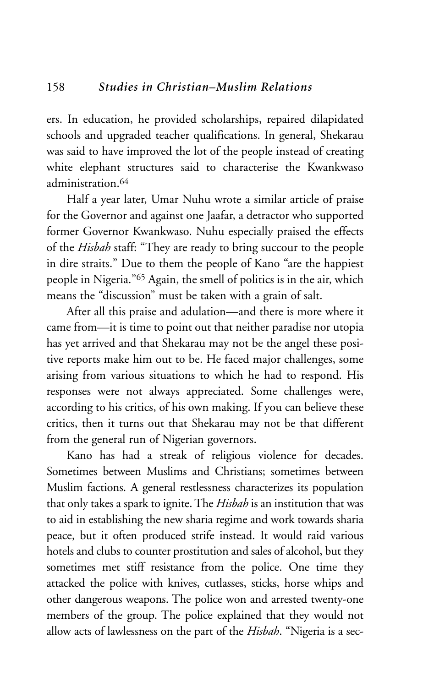ers. In education, he provided scholarships, repaired dilapidated schools and upgraded teacher qualifications. In general, Shekarau was said to have improved the lot of the people instead of creating white elephant structures said to characterise the Kwankwaso administration 64

Half a year later, Umar Nuhu wrote a similar article of praise for the Governor and against one Jaafar, a detractor who supported former Governor Kwankwaso. Nuhu especially praised the effects of the *Hisbah* staff: "They are ready to bring succour to the people in dire straits." Due to them the people of Kano "are the happiest people in Nigeria."65 Again, the smell of politics is in the air, which means the "discussion" must be taken with a grain of salt.

After all this praise and adulation—and there is more where it came from—it is time to point out that neither paradise nor utopia has yet arrived and that Shekarau may not be the angel these positive reports make him out to be. He faced major challenges, some arising from various situations to which he had to respond. His responses were not always appreciated. Some challenges were, according to his critics, of his own making. If you can believe these critics, then it turns out that Shekarau may not be that different from the general run of Nigerian governors.

Kano has had a streak of religious violence for decades. Sometimes between Muslims and Christians; sometimes between Muslim factions. A general restlessness characterizes its population that only takes a spark to ignite. The *Hisbah* is an institution that was to aid in establishing the new sharia regime and work towards sharia peace, but it often produced strife instead. It would raid various hotels and clubs to counter prostitution and sales of alcohol, but they sometimes met stiff resistance from the police. One time they attacked the police with knives, cutlasses, sticks, horse whips and other dangerous weapons. The police won and arrested twenty-one members of the group. The police explained that they would not allow acts of lawlessness on the part of the *Hisbah*. "Nigeria is a sec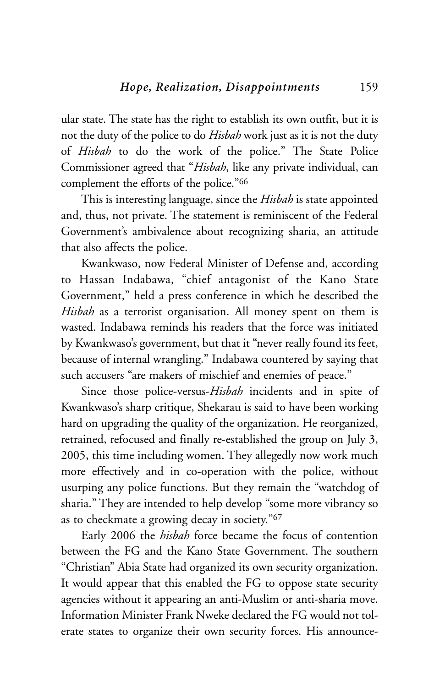ular state. The state has the right to establish its own outfit, but it is not the duty of the police to do *Hisbah* work just as it is not the duty of *Hisbah* to do the work of the police." The State Police Commissioner agreed that "*Hisbah*, like any private individual, can complement the efforts of the police."66

This is interesting language, since the *Hisbah* is state appointed and, thus, not private. The statement is reminiscent of the Federal Government's ambivalence about recognizing sharia, an attitude that also affects the police.

Kwankwaso, now Federal Minister of Defense and, according to Hassan Indabawa, "chief antagonist of the Kano State Government," held a press conference in which he described the *Hisbah* as a terrorist organisation. All money spent on them is wasted. Indabawa reminds his readers that the force was initiated by Kwankwaso's government, but that it "never really found its feet, because of internal wrangling." Indabawa countered by saying that such accusers "are makers of mischief and enemies of peace."

Since those police-versus-*Hisbah* incidents and in spite of Kwankwaso's sharp critique, Shekarau is said to have been working hard on upgrading the quality of the organization. He reorganized, retrained, refocused and finally re-established the group on July 3, 2005, this time including women. They allegedly now work much more effectively and in co-operation with the police, without usurping any police functions. But they remain the "watchdog of sharia." They are intended to help develop "some more vibrancy so as to checkmate a growing decay in society."67

Early 2006 the *hisbah* force became the focus of contention between the FG and the Kano State Government. The southern "Christian" Abia State had organized its own security organization. It would appear that this enabled the FG to oppose state security agencies without it appearing an anti-Muslim or anti-sharia move. Information Minister Frank Nweke declared the FG would not tolerate states to organize their own security forces. His announce-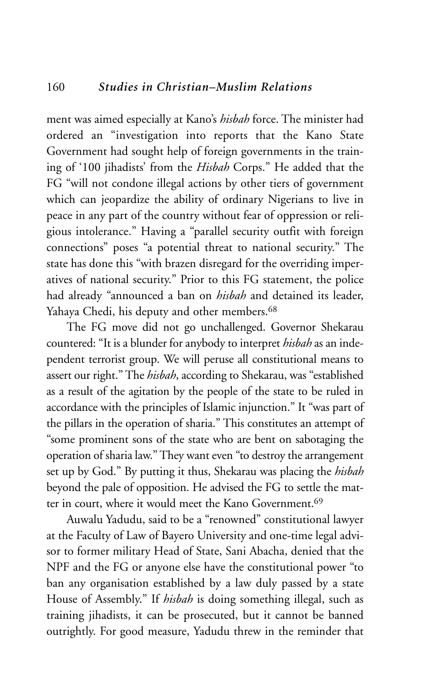# 160 *Studies in Christian–Muslim Relations*

ment was aimed especially at Kano's *hisbah* force. The minister had ordered an "investigation into reports that the Kano State Government had sought help of foreign governments in the training of '100 jihadists' from the *Hisbah* Corps." He added that the FG "will not condone illegal actions by other tiers of government which can jeopardize the ability of ordinary Nigerians to live in peace in any part of the country without fear of oppression or religious intolerance." Having a "parallel security outfit with foreign connections" poses "a potential threat to national security." The state has done this "with brazen disregard for the overriding imperatives of national security." Prior to this FG statement, the police had already "announced a ban on *hisbah* and detained its leader, Yahaya Chedi, his deputy and other members.<sup>68</sup>

The FG move did not go unchallenged. Governor Shekarau countered: "It is a blunder for anybody to interpret *hisbah* as an independent terrorist group. We will peruse all constitutional means to assert our right." The *hisbah*, according to Shekarau, was "established as a result of the agitation by the people of the state to be ruled in accordance with the principles of Islamic injunction." It "was part of the pillars in the operation of sharia." This constitutes an attempt of "some prominent sons of the state who are bent on sabotaging the operation of sharia law." They want even "to destroy the arrangement set up by God." By putting it thus, Shekarau was placing the *hisbah* beyond the pale of opposition. He advised the FG to settle the matter in court, where it would meet the Kano Government.69

Auwalu Yadudu, said to be a "renowned" constitutional lawyer at the Faculty of Law of Bayero University and one-time legal advisor to former military Head of State, Sani Abacha, denied that the NPF and the FG or anyone else have the constitutional power "to ban any organisation established by a law duly passed by a state House of Assembly." If *hisbah* is doing something illegal, such as training jihadists, it can be prosecuted, but it cannot be banned outrightly. For good measure, Yadudu threw in the reminder that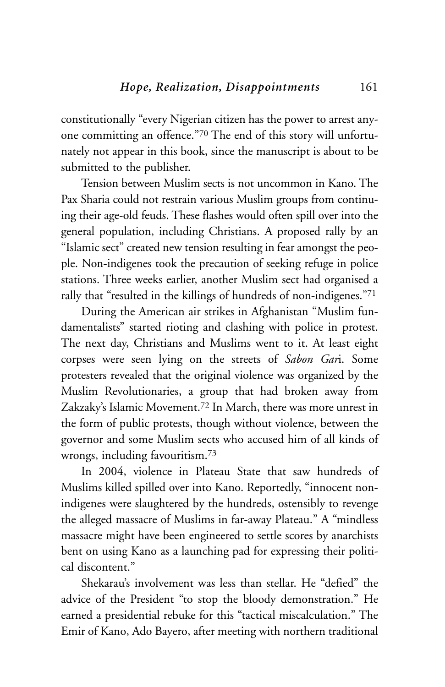constitutionally "every Nigerian citizen has the power to arrest anyone committing an offence."70 The end of this story will unfortunately not appear in this book, since the manuscript is about to be submitted to the publisher.

Tension between Muslim sects is not uncommon in Kano. The Pax Sharia could not restrain various Muslim groups from continuing their age-old feuds. These flashes would often spill over into the general population, including Christians. A proposed rally by an "Islamic sect" created new tension resulting in fear amongst the people. Non-indigenes took the precaution of seeking refuge in police stations. Three weeks earlier, another Muslim sect had organised a rally that "resulted in the killings of hundreds of non-indigenes."71

During the American air strikes in Afghanistan "Muslim fundamentalists" started rioting and clashing with police in protest. The next day, Christians and Muslims went to it. At least eight corpses were seen lying on the streets of *Sabon Gar*i. Some protesters revealed that the original violence was organized by the Muslim Revolutionaries, a group that had broken away from Zakzaky's Islamic Movement.72 In March, there was more unrest in the form of public protests, though without violence, between the governor and some Muslim sects who accused him of all kinds of wrongs, including favouritism.73

In 2004, violence in Plateau State that saw hundreds of Muslims killed spilled over into Kano. Reportedly, "innocent nonindigenes were slaughtered by the hundreds, ostensibly to revenge the alleged massacre of Muslims in far-away Plateau." A "mindless massacre might have been engineered to settle scores by anarchists bent on using Kano as a launching pad for expressing their political discontent."

Shekarau's involvement was less than stellar. He "defied" the advice of the President "to stop the bloody demonstration." He earned a presidential rebuke for this "tactical miscalculation." The Emir of Kano, Ado Bayero, after meeting with northern traditional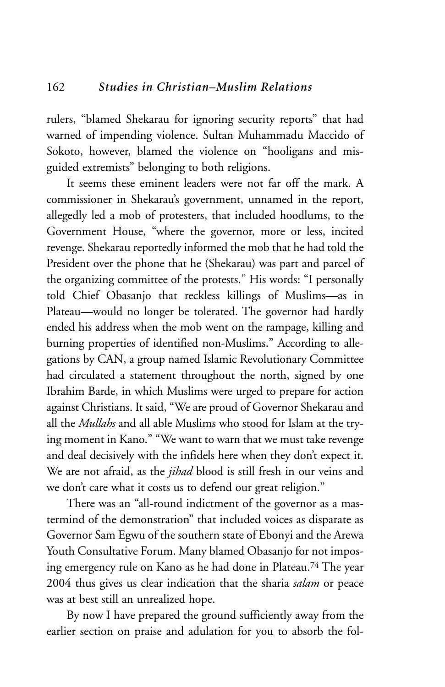rulers, "blamed Shekarau for ignoring security reports" that had warned of impending violence. Sultan Muhammadu Maccido of Sokoto, however, blamed the violence on "hooligans and misguided extremists" belonging to both religions.

It seems these eminent leaders were not far off the mark. A commissioner in Shekarau's government, unnamed in the report, allegedly led a mob of protesters, that included hoodlums, to the Government House, "where the governor, more or less, incited revenge. Shekarau reportedly informed the mob that he had told the President over the phone that he (Shekarau) was part and parcel of the organizing committee of the protests." His words: "I personally told Chief Obasanjo that reckless killings of Muslims—as in Plateau—would no longer be tolerated. The governor had hardly ended his address when the mob went on the rampage, killing and burning properties of identified non-Muslims." According to allegations by CAN, a group named Islamic Revolutionary Committee had circulated a statement throughout the north, signed by one Ibrahim Barde, in which Muslims were urged to prepare for action against Christians. It said, "We are proud of Governor Shekarau and all the *Mullahs* and all able Muslims who stood for Islam at the trying moment in Kano." "We want to warn that we must take revenge and deal decisively with the infidels here when they don't expect it. We are not afraid, as the *jihad* blood is still fresh in our veins and we don't care what it costs us to defend our great religion."

There was an "all-round indictment of the governor as a mastermind of the demonstration" that included voices as disparate as Governor Sam Egwu of the southern state of Ebonyi and the Arewa Youth Consultative Forum. Many blamed Obasanjo for not imposing emergency rule on Kano as he had done in Plateau.74 The year 2004 thus gives us clear indication that the sharia *salam* or peace was at best still an unrealized hope.

By now I have prepared the ground sufficiently away from the earlier section on praise and adulation for you to absorb the fol-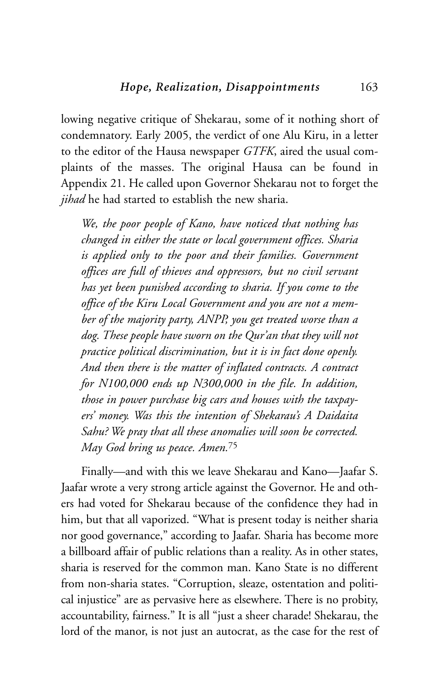lowing negative critique of Shekarau, some of it nothing short of condemnatory. Early 2005, the verdict of one Alu Kiru, in a letter to the editor of the Hausa newspaper *GTFK*, aired the usual complaints of the masses. The original Hausa can be found in Appendix 21. He called upon Governor Shekarau not to forget the *jihad* he had started to establish the new sharia.

*We, the poor people of Kano, have noticed that nothing has changed in either the state or local government offices. Sharia is applied only to the poor and their families. Government offices are full of thieves and oppressors, but no civil servant has yet been punished according to sharia. If you come to the office of the Kiru Local Government and you are not a member of the majority party, ANPP, you get treated worse than a dog. These people have sworn on the Qur'an that they will not practice political discrimination, but it is in fact done openly. And then there is the matter of inflated contracts. A contract for N100,000 ends up N300,000 in the file. In addition, those in power purchase big cars and houses with the taxpayers' money. Was this the intention of Shekarau's A Daidaita Sahu? We pray that all these anomalies will soon be corrected. May God bring us peace. Amen.*<sup>75</sup>

Finally—and with this we leave Shekarau and Kano—Jaafar S. Jaafar wrote a very strong article against the Governor. He and others had voted for Shekarau because of the confidence they had in him, but that all vaporized. "What is present today is neither sharia nor good governance," according to Jaafar. Sharia has become more a billboard affair of public relations than a reality. As in other states, sharia is reserved for the common man. Kano State is no different from non-sharia states. "Corruption, sleaze, ostentation and political injustice" are as pervasive here as elsewhere. There is no probity, accountability, fairness." It is all "just a sheer charade! Shekarau, the lord of the manor, is not just an autocrat, as the case for the rest of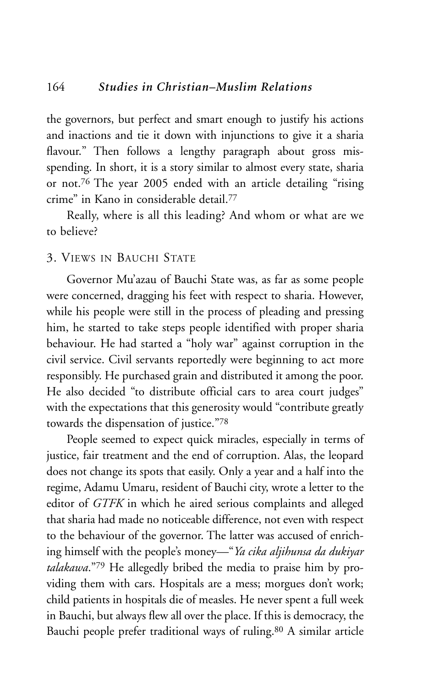the governors, but perfect and smart enough to justify his actions and inactions and tie it down with injunctions to give it a sharia flavour." Then follows a lengthy paragraph about gross misspending. In short, it is a story similar to almost every state, sharia or not.76 The year 2005 ended with an article detailing "rising crime" in Kano in considerable detail.77

Really, where is all this leading? And whom or what are we to believe?

#### 3. VIEWS IN BAUCHI STATE

Governor Mu'azau of Bauchi State was, as far as some people were concerned, dragging his feet with respect to sharia. However, while his people were still in the process of pleading and pressing him, he started to take steps people identified with proper sharia behaviour. He had started a "holy war" against corruption in the civil service. Civil servants reportedly were beginning to act more responsibly. He purchased grain and distributed it among the poor. He also decided "to distribute official cars to area court judges" with the expectations that this generosity would "contribute greatly towards the dispensation of justice."78

People seemed to expect quick miracles, especially in terms of justice, fair treatment and the end of corruption. Alas, the leopard does not change its spots that easily. Only a year and a half into the regime, Adamu Umaru, resident of Bauchi city, wrote a letter to the editor of *GTFK* in which he aired serious complaints and alleged that sharia had made no noticeable difference, not even with respect to the behaviour of the governor. The latter was accused of enriching himself with the people's money—"*Ya cika aljihunsa da dukiyar talakawa*."79 He allegedly bribed the media to praise him by providing them with cars. Hospitals are a mess; morgues don't work; child patients in hospitals die of measles. He never spent a full week in Bauchi, but always flew all over the place. If this is democracy, the Bauchi people prefer traditional ways of ruling.80 A similar article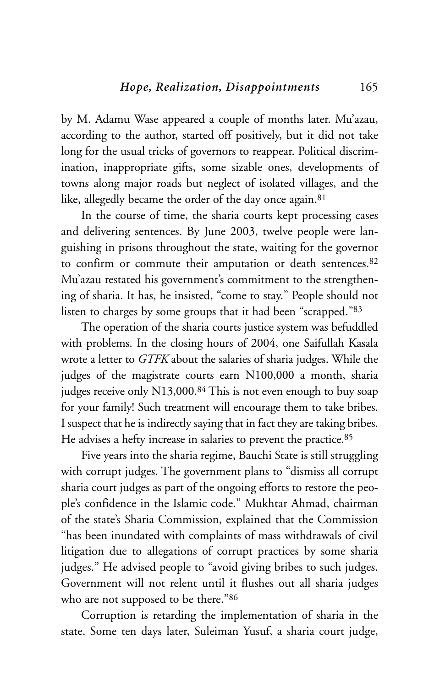by M. Adamu Wase appeared a couple of months later. Mu'azau, according to the author, started off positively, but it did not take long for the usual tricks of governors to reappear. Political discrimination, inappropriate gifts, some sizable ones, developments of towns along major roads but neglect of isolated villages, and the like, allegedly became the order of the day once again.<sup>81</sup>

In the course of time, the sharia courts kept processing cases and delivering sentences. By June 2003, twelve people were languishing in prisons throughout the state, waiting for the governor to confirm or commute their amputation or death sentences.82 Mu'azau restated his government's commitment to the strengthening of sharia. It has, he insisted, "come to stay." People should not listen to charges by some groups that it had been "scrapped."83

The operation of the sharia courts justice system was befuddled with problems. In the closing hours of 2004, one Saifullah Kasala wrote a letter to *GTFK* about the salaries of sharia judges. While the judges of the magistrate courts earn N100,000 a month, sharia judges receive only N13,000.<sup>84</sup> This is not even enough to buy soap for your family! Such treatment will encourage them to take bribes. I suspect that he is indirectly saying that in fact they are taking bribes. He advises a hefty increase in salaries to prevent the practice.85

Five years into the sharia regime, Bauchi State is still struggling with corrupt judges. The government plans to "dismiss all corrupt sharia court judges as part of the ongoing efforts to restore the people's confidence in the Islamic code." Mukhtar Ahmad, chairman of the state's Sharia Commission, explained that the Commission "has been inundated with complaints of mass withdrawals of civil litigation due to allegations of corrupt practices by some sharia judges." He advised people to "avoid giving bribes to such judges. Government will not relent until it flushes out all sharia judges who are not supposed to be there."86

Corruption is retarding the implementation of sharia in the state. Some ten days later, Suleiman Yusuf, a sharia court judge,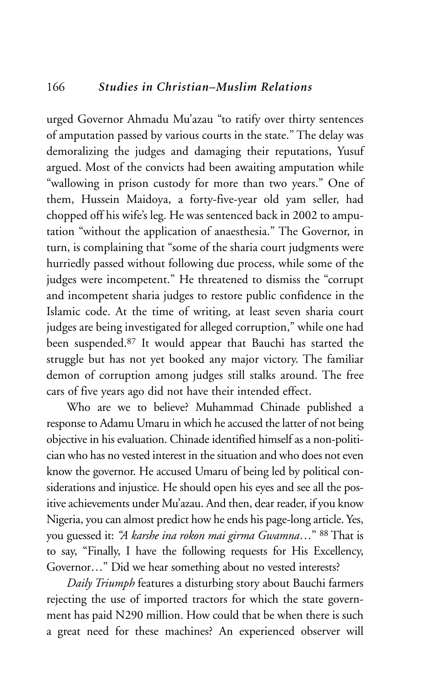urged Governor Ahmadu Mu'azau "to ratify over thirty sentences of amputation passed by various courts in the state." The delay was demoralizing the judges and damaging their reputations, Yusuf argued. Most of the convicts had been awaiting amputation while "wallowing in prison custody for more than two years." One of them, Hussein Maidoya, a forty-five-year old yam seller, had chopped off his wife's leg. He was sentenced back in 2002 to amputation "without the application of anaesthesia." The Governor, in turn, is complaining that "some of the sharia court judgments were hurriedly passed without following due process, while some of the judges were incompetent." He threatened to dismiss the "corrupt and incompetent sharia judges to restore public confidence in the Islamic code. At the time of writing, at least seven sharia court judges are being investigated for alleged corruption," while one had been suspended.87 It would appear that Bauchi has started the struggle but has not yet booked any major victory. The familiar demon of corruption among judges still stalks around. The free cars of five years ago did not have their intended effect.

Who are we to believe? Muhammad Chinade published a response to Adamu Umaru in which he accused the latter of not being objective in his evaluation. Chinade identified himself as a non-politician who has no vested interest in the situation and who does not even know the governor. He accused Umaru of being led by political considerations and injustice. He should open his eyes and see all the positive achievements under Mu'azau. And then, dear reader, if you know Nigeria, you can almost predict how he ends his page-long article. Yes, you guessed it: *"A karshe ina rokon mai girma Gwamna*…" <sup>88</sup> That is to say, "Finally, I have the following requests for His Excellency, Governor…" Did we hear something about no vested interests?

*Daily Triumph* features a disturbing story about Bauchi farmers rejecting the use of imported tractors for which the state government has paid N290 million. How could that be when there is such a great need for these machines? An experienced observer will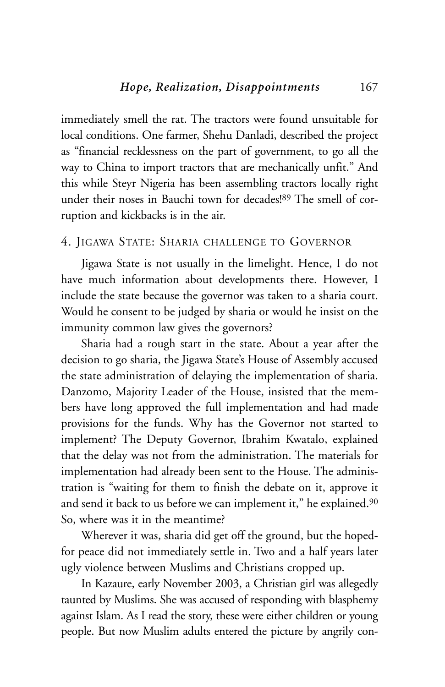immediately smell the rat. The tractors were found unsuitable for local conditions. One farmer, Shehu Danladi, described the project as "financial recklessness on the part of government, to go all the way to China to import tractors that are mechanically unfit." And this while Steyr Nigeria has been assembling tractors locally right under their noses in Bauchi town for decades!89 The smell of corruption and kickbacks is in the air.

#### 4. JIGAWA STATE: SHARIA CHALLENGE TO GOVERNOR

Jigawa State is not usually in the limelight. Hence, I do not have much information about developments there. However, I include the state because the governor was taken to a sharia court. Would he consent to be judged by sharia or would he insist on the immunity common law gives the governors?

Sharia had a rough start in the state. About a year after the decision to go sharia, the Jigawa State's House of Assembly accused the state administration of delaying the implementation of sharia. Danzomo, Majority Leader of the House, insisted that the members have long approved the full implementation and had made provisions for the funds. Why has the Governor not started to implement? The Deputy Governor, Ibrahim Kwatalo, explained that the delay was not from the administration. The materials for implementation had already been sent to the House. The administration is "waiting for them to finish the debate on it, approve it and send it back to us before we can implement it," he explained.<sup>90</sup> So, where was it in the meantime?

Wherever it was, sharia did get off the ground, but the hopedfor peace did not immediately settle in. Two and a half years later ugly violence between Muslims and Christians cropped up.

In Kazaure, early November 2003, a Christian girl was allegedly taunted by Muslims. She was accused of responding with blasphemy against Islam. As I read the story, these were either children or young people. But now Muslim adults entered the picture by angrily con-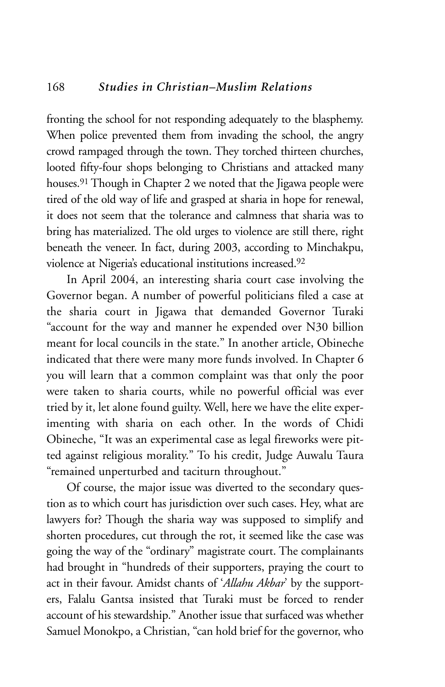fronting the school for not responding adequately to the blasphemy. When police prevented them from invading the school, the angry crowd rampaged through the town. They torched thirteen churches, looted fifty-four shops belonging to Christians and attacked many houses.91 Though in Chapter 2 we noted that the Jigawa people were tired of the old way of life and grasped at sharia in hope for renewal, it does not seem that the tolerance and calmness that sharia was to bring has materialized. The old urges to violence are still there, right beneath the veneer. In fact, during 2003, according to Minchakpu, violence at Nigeria's educational institutions increased.92

In April 2004, an interesting sharia court case involving the Governor began. A number of powerful politicians filed a case at the sharia court in Jigawa that demanded Governor Turaki "account for the way and manner he expended over N30 billion meant for local councils in the state." In another article, Obineche indicated that there were many more funds involved. In Chapter 6 you will learn that a common complaint was that only the poor were taken to sharia courts, while no powerful official was ever tried by it, let alone found guilty. Well, here we have the elite experimenting with sharia on each other. In the words of Chidi Obineche, "It was an experimental case as legal fireworks were pitted against religious morality." To his credit, Judge Auwalu Taura "remained unperturbed and taciturn throughout."

Of course, the major issue was diverted to the secondary question as to which court has jurisdiction over such cases. Hey, what are lawyers for? Though the sharia way was supposed to simplify and shorten procedures, cut through the rot, it seemed like the case was going the way of the "ordinary" magistrate court. The complainants had brought in "hundreds of their supporters, praying the court to act in their favour. Amidst chants of '*Allahu Akbar*' by the supporters, Falalu Gantsa insisted that Turaki must be forced to render account of his stewardship." Another issue that surfaced was whether Samuel Monokpo, a Christian, "can hold brief for the governor, who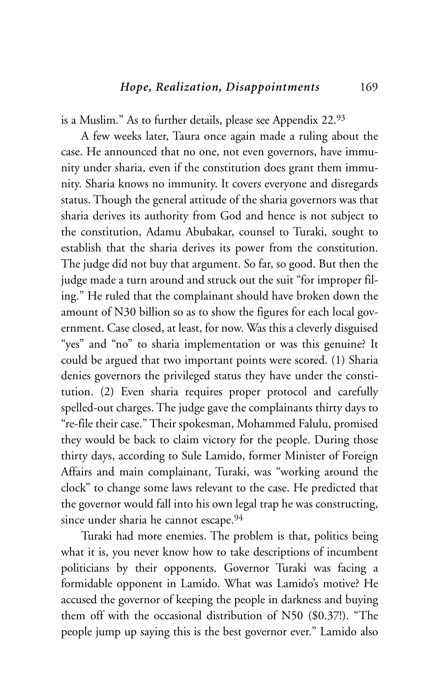is a Muslim." As to further details, please see Appendix 22.93

A few weeks later, Taura once again made a ruling about the case. He announced that no one, not even governors, have immunity under sharia, even if the constitution does grant them immunity. Sharia knows no immunity. It covers everyone and disregards status. Though the general attitude of the sharia governors was that sharia derives its authority from God and hence is not subject to the constitution, Adamu Abubakar, counsel to Turaki, sought to establish that the sharia derives its power from the constitution. The judge did not buy that argument. So far, so good. But then the judge made a turn around and struck out the suit "for improper filing." He ruled that the complainant should have broken down the amount of N30 billion so as to show the figures for each local government. Case closed, at least, for now. Was this a cleverly disguised "yes" and "no" to sharia implementation or was this genuine? It could be argued that two important points were scored. (1) Sharia denies governors the privileged status they have under the constitution. (2) Even sharia requires proper protocol and carefully spelled-out charges. The judge gave the complainants thirty days to "re-file their case." Their spokesman, Mohammed Falulu, promised they would be back to claim victory for the people. During those thirty days, according to Sule Lamido, former Minister of Foreign Affairs and main complainant, Turaki, was "working around the clock" to change some laws relevant to the case. He predicted that the governor would fall into his own legal trap he was constructing, since under sharia he cannot escape.<sup>94</sup>

Turaki had more enemies. The problem is that, politics being what it is, you never know how to take descriptions of incumbent politicians by their opponents. Governor Turaki was facing a formidable opponent in Lamido. What was Lamido's motive? He accused the governor of keeping the people in darkness and buying them off with the occasional distribution of N50 (\$0.37!). "The people jump up saying this is the best governor ever." Lamido also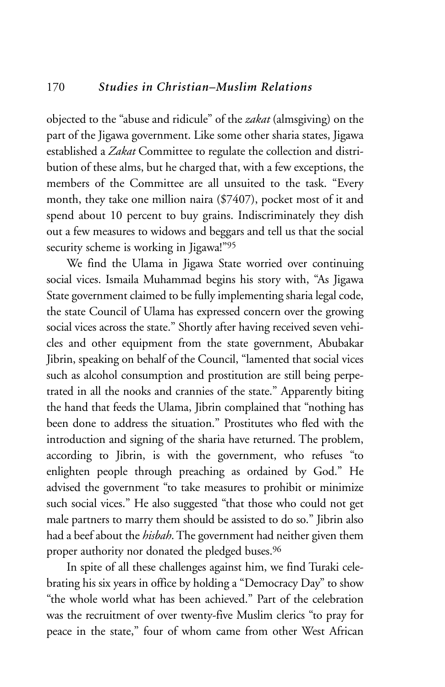objected to the "abuse and ridicule" of the *zakat* (almsgiving) on the part of the Jigawa government. Like some other sharia states, Jigawa established a *Zakat* Committee to regulate the collection and distribution of these alms, but he charged that, with a few exceptions, the members of the Committee are all unsuited to the task. "Every month, they take one million naira (\$7407), pocket most of it and spend about 10 percent to buy grains. Indiscriminately they dish out a few measures to widows and beggars and tell us that the social security scheme is working in Jigawa!"95

We find the Ulama in Jigawa State worried over continuing social vices. Ismaila Muhammad begins his story with, "As Jigawa State government claimed to be fully implementing sharia legal code, the state Council of Ulama has expressed concern over the growing social vices across the state." Shortly after having received seven vehicles and other equipment from the state government, Abubakar Jibrin, speaking on behalf of the Council, "lamented that social vices such as alcohol consumption and prostitution are still being perpetrated in all the nooks and crannies of the state." Apparently biting the hand that feeds the Ulama, Jibrin complained that "nothing has been done to address the situation." Prostitutes who fled with the introduction and signing of the sharia have returned. The problem, according to Jibrin, is with the government, who refuses "to enlighten people through preaching as ordained by God." He advised the government "to take measures to prohibit or minimize such social vices." He also suggested "that those who could not get male partners to marry them should be assisted to do so." Jibrin also had a beef about the *hisbah*. The government had neither given them proper authority nor donated the pledged buses.<sup>96</sup>

In spite of all these challenges against him, we find Turaki celebrating his six years in office by holding a "Democracy Day" to show "the whole world what has been achieved." Part of the celebration was the recruitment of over twenty-five Muslim clerics "to pray for peace in the state," four of whom came from other West African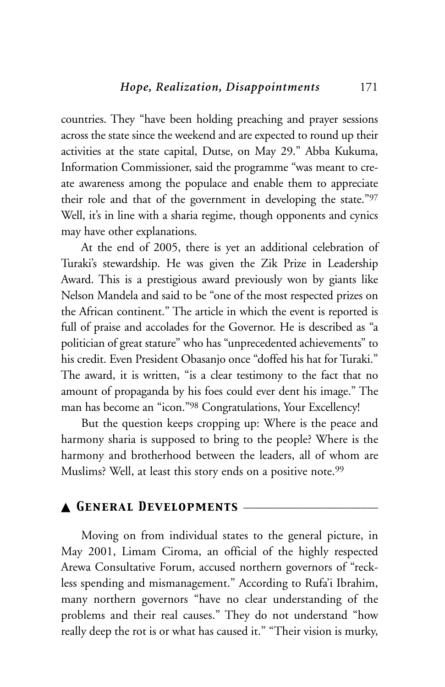countries. They "have been holding preaching and prayer sessions across the state since the weekend and are expected to round up their activities at the state capital, Dutse, on May 29." Abba Kukuma, Information Commissioner, said the programme "was meant to create awareness among the populace and enable them to appreciate their role and that of the government in developing the state."97 Well, it's in line with a sharia regime, though opponents and cynics may have other explanations.

At the end of 2005, there is yet an additional celebration of Turaki's stewardship. He was given the Zik Prize in Leadership Award. This is a prestigious award previously won by giants like Nelson Mandela and said to be "one of the most respected prizes on the African continent." The article in which the event is reported is full of praise and accolades for the Governor. He is described as "a politician of great stature" who has "unprecedented achievements" to his credit. Even President Obasanjo once "doffed his hat for Turaki." The award, it is written, "is a clear testimony to the fact that no amount of propaganda by his foes could ever dent his image." The man has become an "icon."98 Congratulations, Your Excellency!

But the question keeps cropping up: Where is the peace and harmony sharia is supposed to bring to the people? Where is the harmony and brotherhood between the leaders, all of whom are Muslims? Well, at least this story ends on a positive note.<sup>99</sup>

# ▲ *General Developments* \_\_\_\_\_\_\_\_\_\_\_\_\_\_\_\_\_\_\_\_\_\_\_\_

Moving on from individual states to the general picture, in May 2001, Limam Ciroma, an official of the highly respected Arewa Consultative Forum, accused northern governors of "reckless spending and mismanagement." According to Rufa'i Ibrahim, many northern governors "have no clear understanding of the problems and their real causes." They do not understand "how really deep the rot is or what has caused it." "Their vision is murky,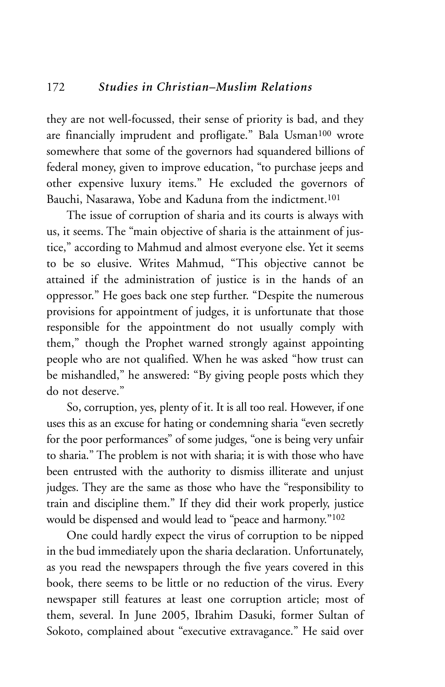they are not well-focussed, their sense of priority is bad, and they are financially imprudent and profligate." Bala Usman<sup>100</sup> wrote somewhere that some of the governors had squandered billions of federal money, given to improve education, "to purchase jeeps and other expensive luxury items." He excluded the governors of Bauchi, Nasarawa, Yobe and Kaduna from the indictment.<sup>101</sup>

The issue of corruption of sharia and its courts is always with us, it seems. The "main objective of sharia is the attainment of justice," according to Mahmud and almost everyone else. Yet it seems to be so elusive. Writes Mahmud, "This objective cannot be attained if the administration of justice is in the hands of an oppressor." He goes back one step further. "Despite the numerous provisions for appointment of judges, it is unfortunate that those responsible for the appointment do not usually comply with them," though the Prophet warned strongly against appointing people who are not qualified. When he was asked "how trust can be mishandled," he answered: "By giving people posts which they do not deserve."

So, corruption, yes, plenty of it. It is all too real. However, if one uses this as an excuse for hating or condemning sharia "even secretly for the poor performances" of some judges, "one is being very unfair to sharia." The problem is not with sharia; it is with those who have been entrusted with the authority to dismiss illiterate and unjust judges. They are the same as those who have the "responsibility to train and discipline them." If they did their work properly, justice would be dispensed and would lead to "peace and harmony."102

One could hardly expect the virus of corruption to be nipped in the bud immediately upon the sharia declaration. Unfortunately, as you read the newspapers through the five years covered in this book, there seems to be little or no reduction of the virus. Every newspaper still features at least one corruption article; most of them, several. In June 2005, Ibrahim Dasuki, former Sultan of Sokoto, complained about "executive extravagance." He said over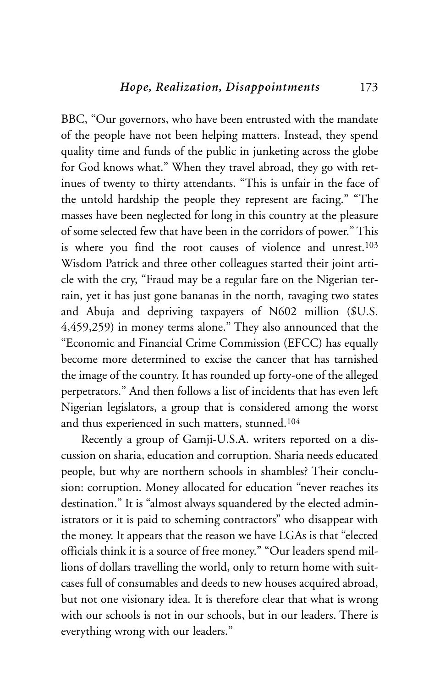BBC, "Our governors, who have been entrusted with the mandate of the people have not been helping matters. Instead, they spend quality time and funds of the public in junketing across the globe for God knows what." When they travel abroad, they go with retinues of twenty to thirty attendants. "This is unfair in the face of the untold hardship the people they represent are facing." "The masses have been neglected for long in this country at the pleasure of some selected few that have been in the corridors of power." This is where you find the root causes of violence and unrest.103 Wisdom Patrick and three other colleagues started their joint article with the cry, "Fraud may be a regular fare on the Nigerian terrain, yet it has just gone bananas in the north, ravaging two states and Abuja and depriving taxpayers of N602 million (\$U.S. 4,459,259) in money terms alone." They also announced that the "Economic and Financial Crime Commission (EFCC) has equally become more determined to excise the cancer that has tarnished the image of the country. It has rounded up forty-one of the alleged perpetrators." And then follows a list of incidents that has even left Nigerian legislators, a group that is considered among the worst and thus experienced in such matters, stunned.104

Recently a group of Gamji-U.S.A. writers reported on a discussion on sharia, education and corruption. Sharia needs educated people, but why are northern schools in shambles? Their conclusion: corruption. Money allocated for education "never reaches its destination." It is "almost always squandered by the elected administrators or it is paid to scheming contractors" who disappear with the money. It appears that the reason we have LGAs is that "elected officials think it is a source of free money." "Our leaders spend millions of dollars travelling the world, only to return home with suitcases full of consumables and deeds to new houses acquired abroad, but not one visionary idea. It is therefore clear that what is wrong with our schools is not in our schools, but in our leaders. There is everything wrong with our leaders."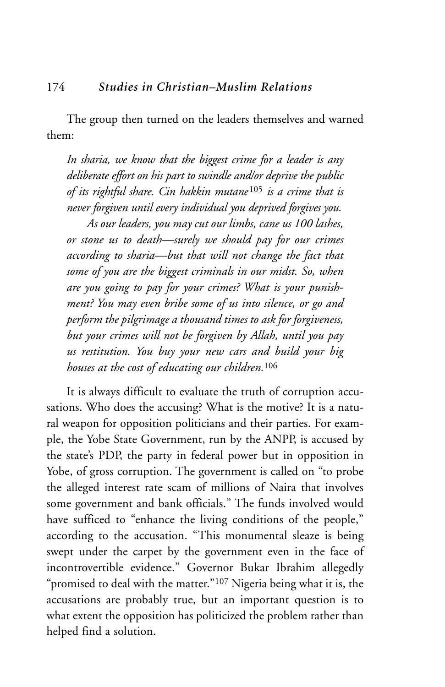The group then turned on the leaders themselves and warned them:

*In sharia, we know that the biggest crime for a leader is any deliberate effort on his part to swindle and/or deprive the public of its rightful share. Cin hakkin mutane*<sup>105</sup> *is a crime that is never forgiven until every individual you deprived forgives you.* 

*As our leaders, you may cut our limbs, cane us 100 lashes, or stone us to death—surely we should pay for our crimes according to sharia—but that will not change the fact that some of you are the biggest criminals in our midst. So, when are you going to pay for your crimes? What is your punishment? You may even bribe some of us into silence, or go and perform the pilgrimage a thousand times to ask for forgiveness, but your crimes will not be forgiven by Allah, until you pay us restitution. You buy your new cars and build your big houses at the cost of educating our children.*<sup>106</sup>

It is always difficult to evaluate the truth of corruption accusations. Who does the accusing? What is the motive? It is a natural weapon for opposition politicians and their parties. For example, the Yobe State Government, run by the ANPP, is accused by the state's PDP, the party in federal power but in opposition in Yobe, of gross corruption. The government is called on "to probe the alleged interest rate scam of millions of Naira that involves some government and bank officials." The funds involved would have sufficed to "enhance the living conditions of the people," according to the accusation. "This monumental sleaze is being swept under the carpet by the government even in the face of incontrovertible evidence." Governor Bukar Ibrahim allegedly "promised to deal with the matter."<sup>107</sup> Nigeria being what it is, the accusations are probably true, but an important question is to what extent the opposition has politicized the problem rather than helped find a solution.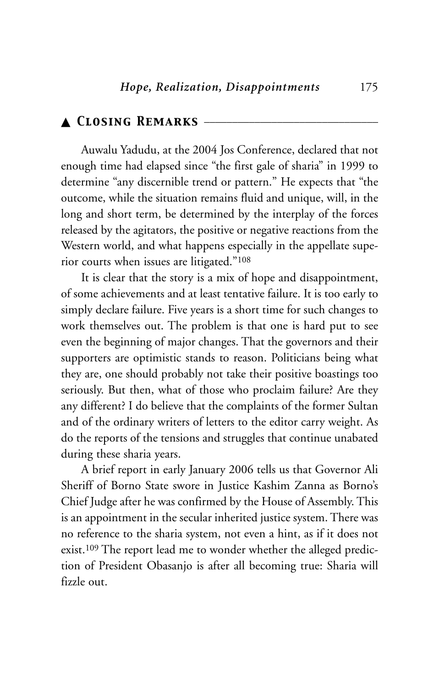## ▲ *Closing Remarks* \_\_\_\_\_\_\_\_\_\_\_\_\_\_\_\_\_\_\_\_\_\_\_\_\_\_\_\_\_\_\_

Auwalu Yadudu, at the 2004 Jos Conference, declared that not enough time had elapsed since "the first gale of sharia" in 1999 to determine "any discernible trend or pattern." He expects that "the outcome, while the situation remains fluid and unique, will, in the long and short term, be determined by the interplay of the forces released by the agitators, the positive or negative reactions from the Western world, and what happens especially in the appellate superior courts when issues are litigated."108

It is clear that the story is a mix of hope and disappointment, of some achievements and at least tentative failure. It is too early to simply declare failure. Five years is a short time for such changes to work themselves out. The problem is that one is hard put to see even the beginning of major changes. That the governors and their supporters are optimistic stands to reason. Politicians being what they are, one should probably not take their positive boastings too seriously. But then, what of those who proclaim failure? Are they any different? I do believe that the complaints of the former Sultan and of the ordinary writers of letters to the editor carry weight. As do the reports of the tensions and struggles that continue unabated during these sharia years.

A brief report in early January 2006 tells us that Governor Ali Sheriff of Borno State swore in Justice Kashim Zanna as Borno's Chief Judge after he was confirmed by the House of Assembly. This is an appointment in the secular inherited justice system. There was no reference to the sharia system, not even a hint, as if it does not exist.109 The report lead me to wonder whether the alleged prediction of President Obasanjo is after all becoming true: Sharia will fizzle out.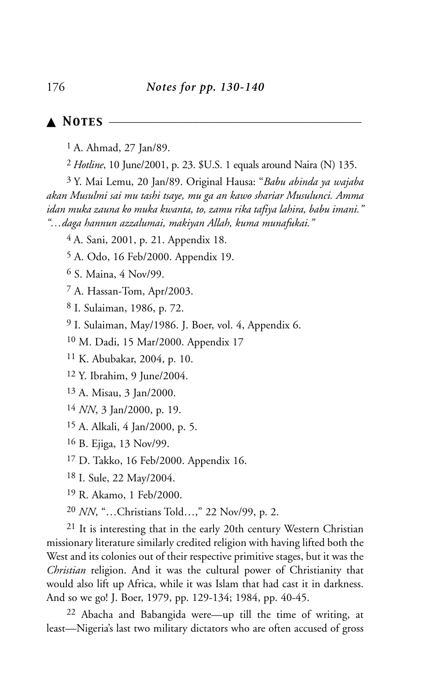▲ *Notes* \_\_\_\_\_\_\_\_\_\_\_\_\_\_\_\_\_\_\_\_\_\_\_\_\_\_\_\_\_\_\_\_\_\_\_\_\_\_\_\_\_\_\_\_\_

1 A. Ahmad, 27 Jan/89.

*Hotline*, 10 June/2001, p. 23. \$U.S. 1 equals around Naira (N) 135.

3 Y. Mai Lemu, 20 Jan/89. Original Hausa: "*Babu abinda ya wajaba akan Musulmi sai mu tashi tsaye, mu ga an kawo shariar Musulunci. Amma idan muka zauna ko muka kwanta, to, zamu rika tafiya lahira, babu imani." "…daga hannun azzalumai, makiyan Allah, kuma munafukai."*

4 A. Sani, 2001, p. 21. Appendix 18.

A. Odo, 16 Feb/2000. Appendix 19.

S. Maina, 4 Nov/99.

A. Hassan-Tom, Apr/2003.

I. Sulaiman, 1986, p. 72.

I. Sulaiman, May/1986. J. Boer, vol. 4, Appendix 6.

M. Dadi, 15 Mar/2000. Appendix 17

K. Abubakar, 2004, p. 10.

Y. Ibrahim, 9 June/2004.

A. Misau, 3 Jan/2000.

*NN*, 3 Jan/2000, p. 19.

A. Alkali, 4 Jan/2000, p. 5.

B. Ejiga, 13 Nov/99.

D. Takko, 16 Feb/2000. Appendix 16.

I. Sule, 22 May/2004.

R. Akamo, 1 Feb/2000.

*NN*, "…Christians Told…," 22 Nov/99, p. 2.

 It is interesting that in the early 20th century Western Christian missionary literature similarly credited religion with having lifted both the West and its colonies out of their respective primitive stages, but it was the *Christian* religion. And it was the cultural power of Christianity that would also lift up Africa, while it was Islam that had cast it in darkness. And so we go! J. Boer, 1979, pp. 129-134; 1984, pp. 40-45.

 Abacha and Babangida were—up till the time of writing, at least—Nigeria's last two military dictators who are often accused of gross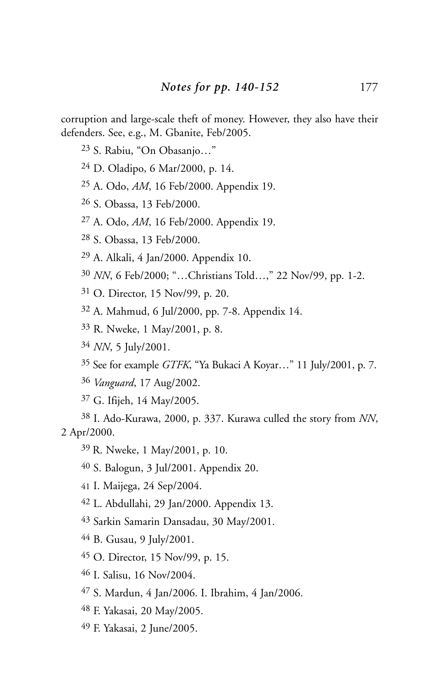corruption and large-scale theft of money. However, they also have their defenders. See, e.g., M. Gbanite, Feb/2005.

- S. Rabiu, "On Obasanjo…"
- D. Oladipo, 6 Mar/2000, p. 14.
- A. Odo, *AM*, 16 Feb/2000. Appendix 19.
- S. Obassa, 13 Feb/2000.
- A. Odo, *AM*, 16 Feb/2000. Appendix 19.
- S. Obassa, 13 Feb/2000.
- A. Alkali, 4 Jan/2000. Appendix 10.
- *NN*, 6 Feb/2000; "…Christians Told…," 22 Nov/99, pp. 1-2.
- O. Director, 15 Nov/99, p. 20.
- A. Mahmud, 6 Jul/2000, pp. 7-8. Appendix 14.
- R. Nweke, 1 May/2001, p. 8.
- *NN*, 5 July/2001.
- See for example *GTFK*, "Ya Bukaci A Koyar…" 11 July/2001, p. 7.
- *Vanguard*, 17 Aug/2002.
- G. Ifijeh, 14 May/2005.

 I. Ado-Kurawa, 2000, p. 337. Kurawa culled the story from *NN*, 2 Apr/2000.

- 39 R. Nweke, 1 May/2001, p. 10.
- S. Balogun, 3 Jul/2001. Appendix 20.
- I. Maijega, 24 Sep/2004.
- L. Abdullahi, 29 Jan/2000. Appendix 13.
- Sarkin Samarin Dansadau, 30 May/2001.
- B. Gusau, 9 July/2001.
- O. Director, 15 Nov/99, p. 15.
- I. Salisu, 16 Nov/2004.
- S. Mardun, 4 Jan/2006. I. Ibrahim, 4 Jan/2006.
- F. Yakasai, 20 May/2005.
- F. Yakasai, 2 June/2005.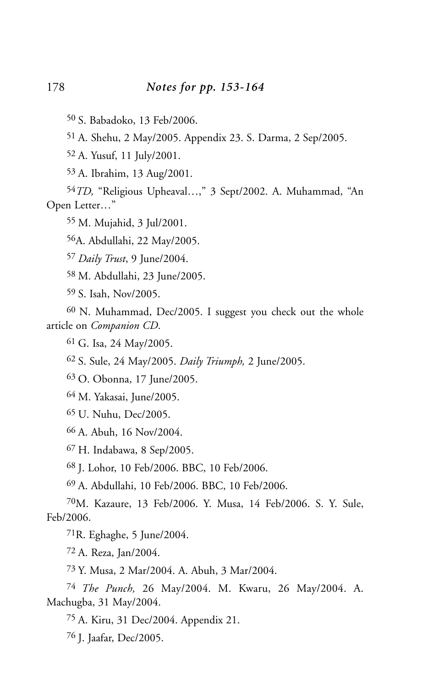50 S. Babadoko, 13 Feb/2006.

51 A. Shehu, 2 May/2005. Appendix 23. S. Darma, 2 Sep/2005.

52 A. Yusuf, 11 July/2001.

53 A. Ibrahim, 13 Aug/2001.

54*TD,* "Religious Upheaval…," 3 Sept/2002. A. Muhammad, "An Open Letter…"

55 M. Mujahid, 3 Jul/2001.

56A. Abdullahi, 22 May/2005.

57 *Daily Trust*, 9 June/2004.

58 M. Abdullahi, 23 June/2005.

59 S. Isah, Nov/2005.

60 N. Muhammad, Dec/2005. I suggest you check out the whole article on *Companion CD*.

61 G. Isa, 24 May/2005.

62 S. Sule, 24 May/2005. *Daily Triumph,* 2 June/2005.

63 O. Obonna, 17 June/2005.

64 M. Yakasai, June/2005.

65 U. Nuhu, Dec/2005.

66 A. Abuh, 16 Nov/2004.

67 H. Indabawa, 8 Sep/2005.

68 J. Lohor, 10 Feb/2006. BBC, 10 Feb/2006.

69 A. Abdullahi, 10 Feb/2006. BBC, 10 Feb/2006.

70M. Kazaure, 13 Feb/2006. Y. Musa, 14 Feb/2006. S. Y. Sule, Feb/2006.

 $71R$ . Eghaghe, 5 June/2004.

72 A. Reza, Jan/2004.

73 Y. Musa, 2 Mar/2004. A. Abuh, 3 Mar/2004.

74 *The Punch,* 26 May/2004. M. Kwaru, 26 May/2004. A. Machugba, 31 May/2004.

75 A. Kiru, 31 Dec/2004. Appendix 21.

76 J. Jaafar, Dec/2005.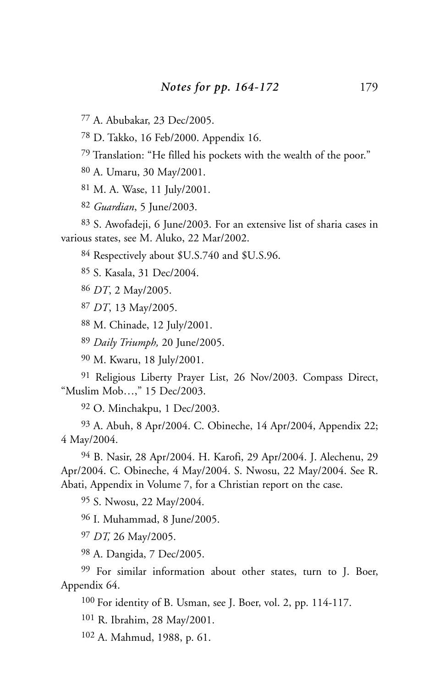A. Abubakar, 23 Dec/2005.

D. Takko, 16 Feb/2000. Appendix 16.

Translation: "He filled his pockets with the wealth of the poor."

A. Umaru, 30 May/2001.

M. A. Wase, 11 July/2001.

*Guardian*, 5 June/2003.

 S. Awofadeji, 6 June/2003. For an extensive list of sharia cases in various states, see M. Aluko, 22 Mar/2002.

Respectively about \$U.S.740 and \$U.S.96.

S. Kasala, 31 Dec/2004.

*DT*, 2 May/2005.

*DT*, 13 May/2005.

M. Chinade, 12 July/2001.

*Daily Triumph,* 20 June/2005.

M. Kwaru, 18 July/2001.

 Religious Liberty Prayer List, 26 Nov/2003. Compass Direct, "Muslim Mob…," 15 Dec/2003.

O. Minchakpu, 1 Dec/2003.

 A. Abuh, 8 Apr/2004. C. Obineche, 14 Apr/2004, Appendix 22; 4 May/2004.

 B. Nasir, 28 Apr/2004. H. Karofi, 29 Apr/2004. J. Alechenu, 29 Apr/2004. C. Obineche, 4 May/2004. S. Nwosu, 22 May/2004. See R. Abati, Appendix in Volume 7, for a Christian report on the case.

S. Nwosu, 22 May/2004.

I. Muhammad, 8 June/2005.

*DT,* 26 May/2005.

A. Dangida, 7 Dec/2005.

 For similar information about other states, turn to J. Boer, Appendix 64.

100 For identity of B. Usman, see J. Boer, vol. 2, pp. 114-117.

R. Ibrahim, 28 May/2001.

A. Mahmud, 1988, p. 61.